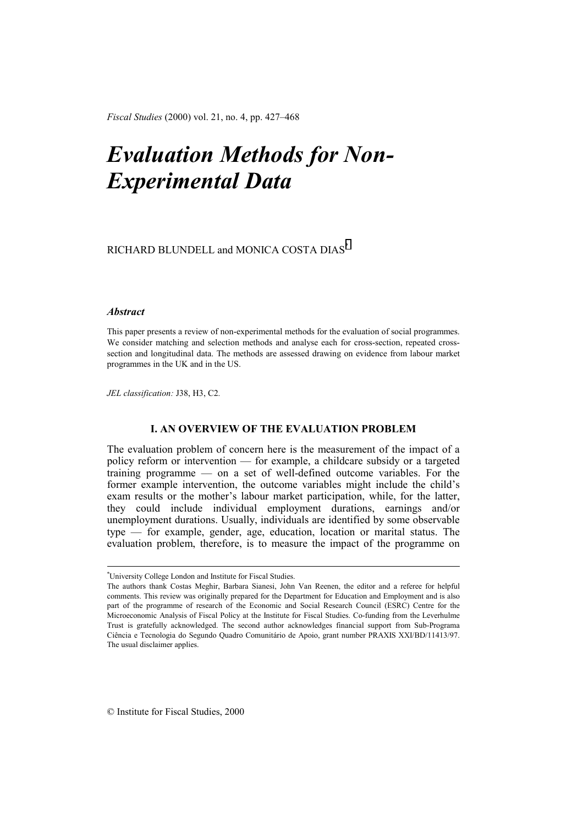*Fiscal Studies* (2000) vol. 21, no. 4, pp. 427–468

# *Evaluation Methods for Non-Experimental Data*

RICHARD BLUNDELL and MONICA COSTA DIAS\*

## *Abstract*

This paper presents a review of non-experimental methods for the evaluation of social programmes. We consider matching and selection methods and analyse each for cross-section, repeated crosssection and longitudinal data. The methods are assessed drawing on evidence from labour market programmes in the UK and in the US.

*JEL classification:* J38, H3, C2*.* 

## **I. AN OVERVIEW OF THE EVALUATION PROBLEM**

The evaluation problem of concern here is the measurement of the impact of a policy reform or intervention — for example, a childcare subsidy or a targeted training programme — on a set of well-defined outcome variables. For the former example intervention, the outcome variables might include the child's exam results or the mother's labour market participation, while, for the latter, they could include individual employment durations, earnings and/or unemployment durations. Usually, individuals are identified by some observable type — for example, gender, age, education, location or marital status. The evaluation problem, therefore, is to measure the impact of the programme on

 <sup>\*</sup> University College London and Institute for Fiscal Studies.

The authors thank Costas Meghir, Barbara Sianesi, John Van Reenen, the editor and a referee for helpful comments. This review was originally prepared for the Department for Education and Employment and is also part of the programme of research of the Economic and Social Research Council (ESRC) Centre for the Microeconomic Analysis of Fiscal Policy at the Institute for Fiscal Studies. Co-funding from the Leverhulme Trust is gratefully acknowledged. The second author acknowledges financial support from Sub-Programa Ciência e Tecnologia do Segundo Quadro Comunitário de Apoio, grant number PRAXIS XXI/BD/11413/97. The usual disclaimer applies.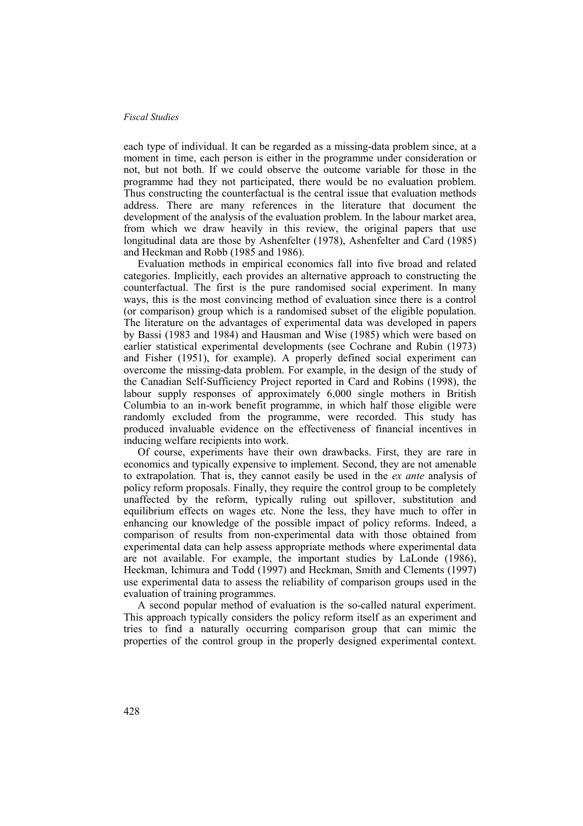each type of individual. It can be regarded as a missing-data problem since, at a moment in time, each person is either in the programme under consideration or not, but not both. If we could observe the outcome variable for those in the programme had they not participated, there would be no evaluation problem. Thus constructing the counterfactual is the central issue that evaluation methods address. There are many references in the literature that document the development of the analysis of the evaluation problem. In the labour market area, from which we draw heavily in this review, the original papers that use longitudinal data are those by Ashenfelter (1978), Ashenfelter and Card (1985) and Heckman and Robb (1985 and 1986).

Evaluation methods in empirical economics fall into five broad and related categories. Implicitly, each provides an alternative approach to constructing the counterfactual. The first is the pure randomised social experiment. In many ways, this is the most convincing method of evaluation since there is a control (or comparison) group which is a randomised subset of the eligible population. The literature on the advantages of experimental data was developed in papers by Bassi (1983 and 1984) and Hausman and Wise (1985) which were based on earlier statistical experimental developments (see Cochrane and Rubin (1973) and Fisher (1951), for example). A properly defined social experiment can overcome the missing-data problem. For example, in the design of the study of the Canadian Self-Sufficiency Project reported in Card and Robins (1998), the labour supply responses of approximately 6,000 single mothers in British Columbia to an in-work benefit programme, in which half those eligible were randomly excluded from the programme, were recorded. This study has produced invaluable evidence on the effectiveness of financial incentives in inducing welfare recipients into work.

Of course, experiments have their own drawbacks. First, they are rare in economics and typically expensive to implement. Second, they are not amenable to extrapolation. That is, they cannot easily be used in the *ex ante* analysis of policy reform proposals. Finally, they require the control group to be completely unaffected by the reform, typically ruling out spillover, substitution and equilibrium effects on wages etc. None the less, they have much to offer in enhancing our knowledge of the possible impact of policy reforms. Indeed, a comparison of results from non-experimental data with those obtained from experimental data can help assess appropriate methods where experimental data are not available. For example, the important studies by LaLonde (1986), Heckman, Ichimura and Todd (1997) and Heckman, Smith and Clements (1997) use experimental data to assess the reliability of comparison groups used in the evaluation of training programmes.

A second popular method of evaluation is the so-called natural experiment. This approach typically considers the policy reform itself as an experiment and tries to find a naturally occurring comparison group that can mimic the properties of the control group in the properly designed experimental context.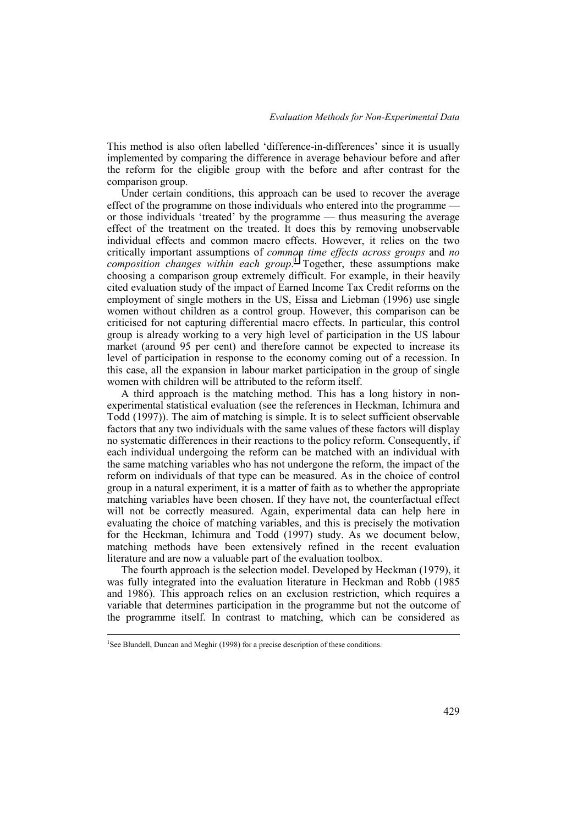This method is also often labelled 'difference-in-differences' since it is usually implemented by comparing the difference in average behaviour before and after the reform for the eligible group with the before and after contrast for the comparison group.

Under certain conditions, this approach can be used to recover the average effect of the programme on those individuals who entered into the programme or those individuals 'treated' by the programme — thus measuring the average effect of the treatment on the treated. It does this by removing unobservable individual effects and common macro effects. However, it relies on the two critically important assumptions of *common time effects across groups* and *no composition changes within each group*. 1 Together, these assumptions make choosing a comparison group extremely difficult. For example, in their heavily cited evaluation study of the impact of Earned Income Tax Credit reforms on the employment of single mothers in the US, Eissa and Liebman (1996) use single women without children as a control group. However, this comparison can be criticised for not capturing differential macro effects. In particular, this control group is already working to a very high level of participation in the US labour market (around 95 per cent) and therefore cannot be expected to increase its level of participation in response to the economy coming out of a recession. In this case, all the expansion in labour market participation in the group of single women with children will be attributed to the reform itself.

A third approach is the matching method. This has a long history in nonexperimental statistical evaluation (see the references in Heckman, Ichimura and Todd (1997)). The aim of matching is simple. It is to select sufficient observable factors that any two individuals with the same values of these factors will display no systematic differences in their reactions to the policy reform. Consequently, if each individual undergoing the reform can be matched with an individual with the same matching variables who has not undergone the reform, the impact of the reform on individuals of that type can be measured. As in the choice of control group in a natural experiment, it is a matter of faith as to whether the appropriate matching variables have been chosen. If they have not, the counterfactual effect will not be correctly measured. Again, experimental data can help here in evaluating the choice of matching variables, and this is precisely the motivation for the Heckman, Ichimura and Todd (1997) study. As we document below, matching methods have been extensively refined in the recent evaluation literature and are now a valuable part of the evaluation toolbox.

The fourth approach is the selection model. Developed by Heckman (1979), it was fully integrated into the evaluation literature in Heckman and Robb (1985 and 1986). This approach relies on an exclusion restriction, which requires a variable that determines participation in the programme but not the outcome of the programme itself. In contrast to matching, which can be considered as

 $\frac{1}{1}$ <sup>1</sup>See Blundell, Duncan and Meghir (1998) for a precise description of these conditions.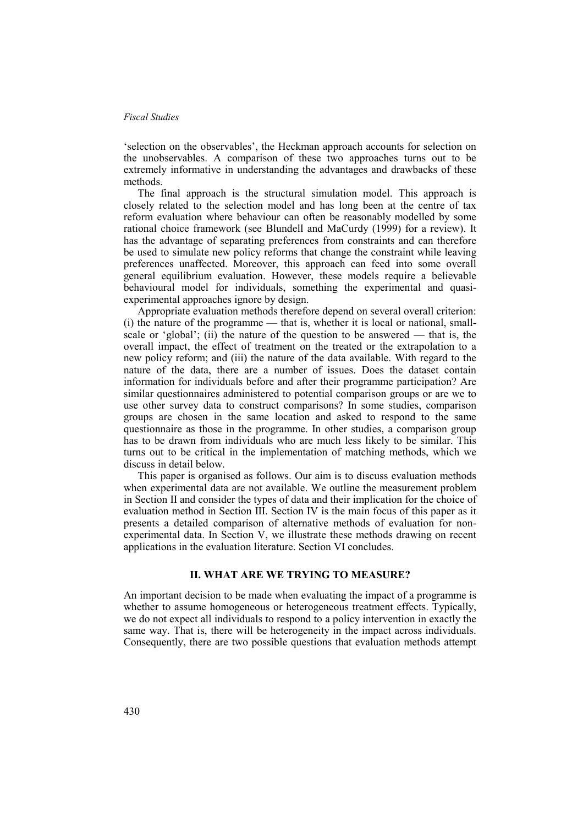'selection on the observables', the Heckman approach accounts for selection on the unobservables. A comparison of these two approaches turns out to be extremely informative in understanding the advantages and drawbacks of these methods.

The final approach is the structural simulation model. This approach is closely related to the selection model and has long been at the centre of tax reform evaluation where behaviour can often be reasonably modelled by some rational choice framework (see Blundell and MaCurdy (1999) for a review). It has the advantage of separating preferences from constraints and can therefore be used to simulate new policy reforms that change the constraint while leaving preferences unaffected. Moreover, this approach can feed into some overall general equilibrium evaluation. However, these models require a believable behavioural model for individuals, something the experimental and quasiexperimental approaches ignore by design.

Appropriate evaluation methods therefore depend on several overall criterion: (i) the nature of the programme — that is, whether it is local or national, smallscale or 'global'; (ii) the nature of the question to be answered — that is, the overall impact, the effect of treatment on the treated or the extrapolation to a new policy reform; and (iii) the nature of the data available. With regard to the nature of the data, there are a number of issues. Does the dataset contain information for individuals before and after their programme participation? Are similar questionnaires administered to potential comparison groups or are we to use other survey data to construct comparisons? In some studies, comparison groups are chosen in the same location and asked to respond to the same questionnaire as those in the programme. In other studies, a comparison group has to be drawn from individuals who are much less likely to be similar. This turns out to be critical in the implementation of matching methods, which we discuss in detail below.

This paper is organised as follows. Our aim is to discuss evaluation methods when experimental data are not available. We outline the measurement problem in Section II and consider the types of data and their implication for the choice of evaluation method in Section III. Section IV is the main focus of this paper as it presents a detailed comparison of alternative methods of evaluation for nonexperimental data. In Section V, we illustrate these methods drawing on recent applications in the evaluation literature. Section VI concludes.

## **II. WHAT ARE WE TRYING TO MEASURE?**

An important decision to be made when evaluating the impact of a programme is whether to assume homogeneous or heterogeneous treatment effects. Typically, we do not expect all individuals to respond to a policy intervention in exactly the same way. That is, there will be heterogeneity in the impact across individuals. Consequently, there are two possible questions that evaluation methods attempt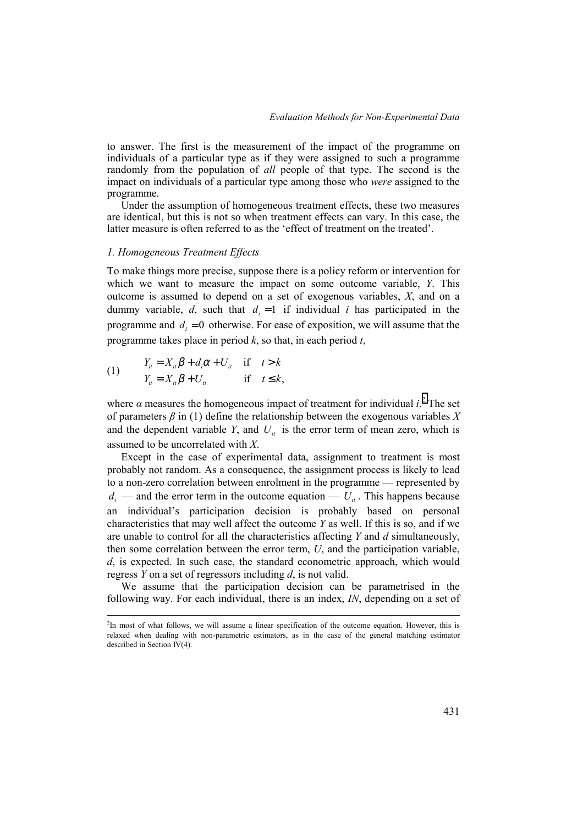to answer. The first is the measurement of the impact of the programme on individuals of a particular type as if they were assigned to such a programme randomly from the population of *all* people of that type. The second is the impact on individuals of a particular type among those who *were* assigned to the programme.

Under the assumption of homogeneous treatment effects, these two measures are identical, but this is not so when treatment effects can vary. In this case, the latter measure is often referred to as the 'effect of treatment on the treated'.

# *1. Homogeneous Treatment Effects*

To make things more precise, suppose there is a policy reform or intervention for which we want to measure the impact on some outcome variable, *Y*. This outcome is assumed to depend on a set of exogenous variables, *X*, and on a dummy variable, *d*, such that  $d_i = 1$  if individual *i* has participated in the programme and  $d_i = 0$  otherwise. For ease of exposition, we will assume that the programme takes place in period *k*, so that, in each period *t*,

(1) 
$$
Y_u = X_u \beta + d_i \alpha + U_u \quad \text{if} \quad t > k
$$

$$
Y_u = X_u \beta + U_u \quad \text{if} \quad t \le k,
$$

where  $\alpha$  measures the homogeneous impact of treatment for individual  $i^2$ . The set of parameters *β* in (1) define the relationship between the exogenous variables *X* and the dependent variable *Y*, and  $U_i$  is the error term of mean zero, which is assumed to be uncorrelated with *X*.

Except in the case of experimental data, assignment to treatment is most probably not random. As a consequence, the assignment process is likely to lead to a non-zero correlation between enrolment in the programme — represented by  $d_i$  — and the error term in the outcome equation —  $U_i$ . This happens because an individual's participation decision is probably based on personal characteristics that may well affect the outcome *Y* as well. If this is so, and if we are unable to control for all the characteristics affecting *Y* and *d* simultaneously, then some correlation between the error term, *U*, and the participation variable, *d*, is expected. In such case, the standard econometric approach, which would regress *Y* on a set of regressors including *d*, is not valid.

We assume that the participation decision can be parametrised in the following way. For each individual, there is an index, *IN*, depending on a set of

 $\frac{1}{2}$ <sup>2</sup>In most of what follows, we will assume a linear specification of the outcome equation. However, this is relaxed when dealing with non-parametric estimators, as in the case of the general matching estimator described in Section IV(4).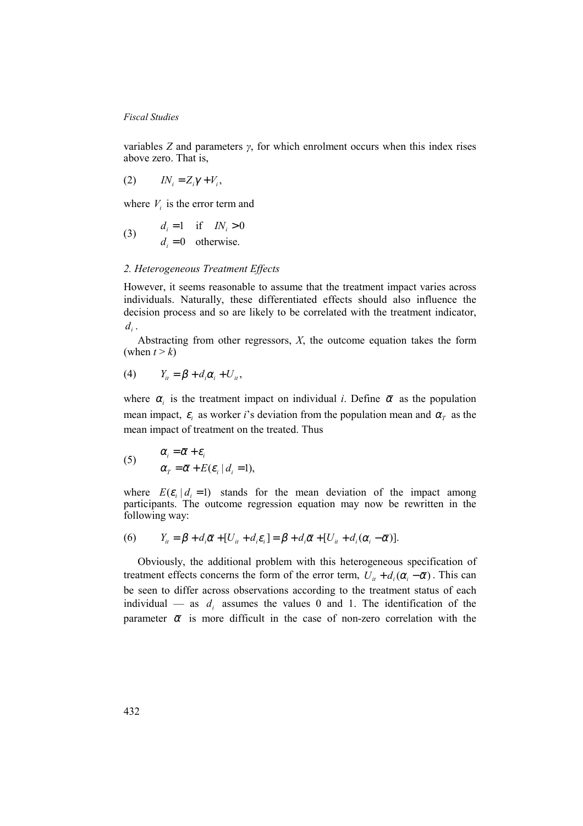variables *Z* and parameters *γ*, for which enrolment occurs when this index rises above zero. That is,

$$
(2) \tIN_i = Z_i \gamma + V_i,
$$

where  $V_i$  is the error term and

(3) 
$$
d_i = 1 \quad \text{if} \quad IN_i > 0
$$

$$
d_i = 0 \quad \text{otherwise.}
$$

## *2. Heterogeneous Treatment Effects*

However, it seems reasonable to assume that the treatment impact varies across individuals. Naturally, these differentiated effects should also influence the decision process and so are likely to be correlated with the treatment indicator,  $d_i$ .

Abstracting from other regressors, *X*, the outcome equation takes the form (when  $t > k$ )

$$
(4) \t Y_{it} = \beta + d_i \alpha_i + U_{it},
$$

where  $\alpha_i$  is the treatment impact on individual *i*. Define  $\overline{\alpha}$  as the population mean impact,  $\varepsilon$ <sub>*i*</sub> as worker *i*'s deviation from the population mean and  $\alpha$ <sub>*T*</sub> as the mean impact of treatment on the treated. Thus

(5) 
$$
\alpha_i = \overline{\alpha} + \varepsilon_i
$$

$$
\alpha_T = \overline{\alpha} + E(\varepsilon_i | d_i = 1),
$$

where  $E(\varepsilon, | d_i = 1)$  stands for the mean deviation of the impact among participants. The outcome regression equation may now be rewritten in the following way:

$$
(6) \qquad Y_{ii} = \beta + d_i \overline{\alpha} + [U_{ii} + d_i \varepsilon_i] = \beta + d_i \overline{\alpha} + [U_{ii} + d_i (\alpha_i - \overline{\alpha})].
$$

Obviously, the additional problem with this heterogeneous specification of treatment effects concerns the form of the error term,  $U_{it} + d_i(\alpha_i - \overline{\alpha})$ . This can be seen to differ across observations according to the treatment status of each individual — as  $d_i$  assumes the values 0 and 1. The identification of the parameter  $\overline{\alpha}$  is more difficult in the case of non-zero correlation with the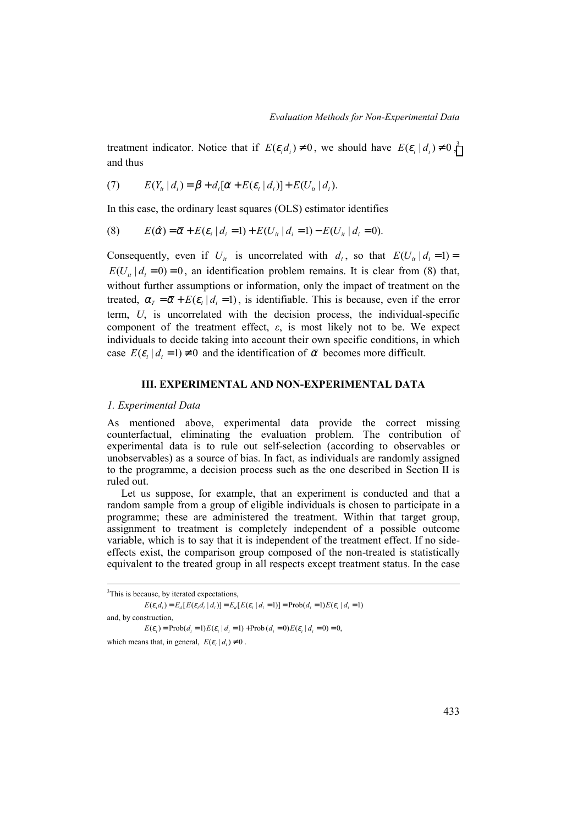treatment indicator. Notice that if  $E(\varepsilon_i d_i) \neq 0$ , we should have  $E(\varepsilon_i | d_i) \neq 0$ ,<sup>3</sup> and thus

(7) 
$$
E(Y_{ii} | d_i) = \beta + d_i [\overline{\alpha} + E(\varepsilon_i | d_i)] + E(U_{ii} | d_i).
$$

In this case, the ordinary least squares (OLS) estimator identifies

$$
(8) \qquad E(\hat{\alpha}) = \overline{\alpha} + E(\varepsilon_i \mid d_i = 1) + E(U_{it} \mid d_i = 1) - E(U_{it} \mid d_i = 0).
$$

Consequently, even if  $U_i$  is uncorrelated with  $d_i$ , so that  $E(U_i | d_i = 1) =$  $E(U_{ii} | d_i = 0) = 0$ , an identification problem remains. It is clear from (8) that, without further assumptions or information, only the impact of treatment on the treated,  $\alpha_T = \overline{\alpha} + E(\varepsilon_i | d_i = 1)$ , is identifiable. This is because, even if the error term, *U*, is uncorrelated with the decision process, the individual-specific component of the treatment effect, *ε*, is most likely not to be. We expect individuals to decide taking into account their own specific conditions, in which case  $E(\varepsilon_i | d_i = 1) \neq 0$  and the identification of  $\overline{\alpha}$  becomes more difficult.

# **III. EXPERIMENTAL AND NON-EXPERIMENTAL DATA**

### *1. Experimental Data*

As mentioned above, experimental data provide the correct missing counterfactual, eliminating the evaluation problem. The contribution of experimental data is to rule out self-selection (according to observables or unobservables) as a source of bias. In fact, as individuals are randomly assigned to the programme, a decision process such as the one described in Section II is ruled out.

Let us suppose, for example, that an experiment is conducted and that a random sample from a group of eligible individuals is chosen to participate in a programme; these are administered the treatment. Within that target group, assignment to treatment is completely independent of a possible outcome variable, which is to say that it is independent of the treatment effect. If no sideeffects exist, the comparison group composed of the non-treated is statistically equivalent to the treated group in all respects except treatment status. In the case

<sup>-</sup><br>3 <sup>3</sup>This is because, by iterated expectations,  $E(\varepsilon_i d_i) = E_d[E(\varepsilon_i d_i | d_i)] = E_d[E(\varepsilon_i | d_i = 1)] = Prob(d_i = 1)E(\varepsilon_i | d_i = 1)$ and, by construction,  $E(\mathcal{E}_i) = \text{Prob}(d_i = 1) E(\mathcal{E}_i | d_i = 1) + \text{Prob}(d_i = 0) E(\mathcal{E}_i | d_i = 0) = 0,$ which means that, in general,  $E(\varepsilon, |d|) \neq 0$ .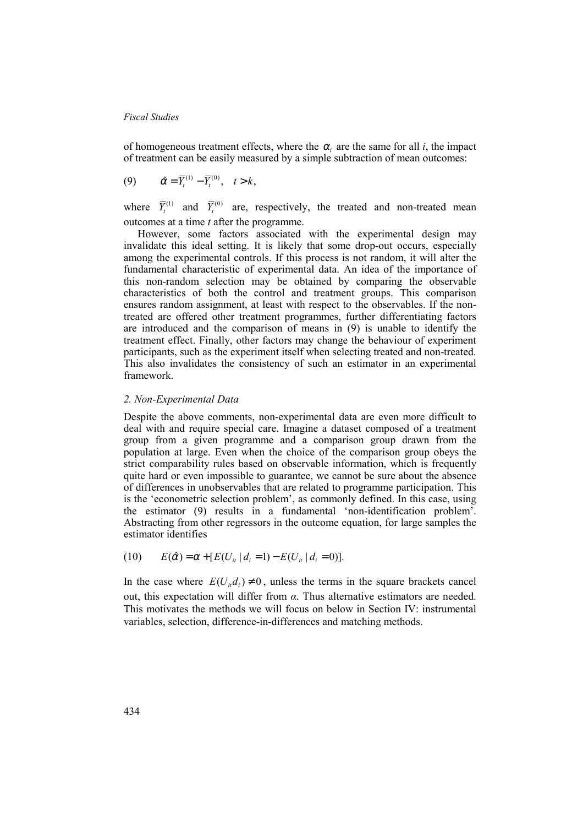of homogeneous treatment effects, where the  $\alpha_i$  are the same for all *i*, the impact of treatment can be easily measured by a simple subtraction of mean outcomes:

(9) 
$$
\hat{\alpha} = \overline{Y}_t^{(1)} - \overline{Y}_t^{(0)}, \quad t > k,
$$

where  $\overline{Y}_t^{(1)}$  and  $\overline{Y}_t^{(0)}$  are, respectively, the treated and non-treated mean outcomes at a time *t* after the programme.

However, some factors associated with the experimental design may invalidate this ideal setting. It is likely that some drop-out occurs, especially among the experimental controls. If this process is not random, it will alter the fundamental characteristic of experimental data. An idea of the importance of this non-random selection may be obtained by comparing the observable characteristics of both the control and treatment groups. This comparison ensures random assignment, at least with respect to the observables. If the nontreated are offered other treatment programmes, further differentiating factors are introduced and the comparison of means in (9) is unable to identify the treatment effect. Finally, other factors may change the behaviour of experiment participants, such as the experiment itself when selecting treated and non-treated. This also invalidates the consistency of such an estimator in an experimental framework.

#### *2. Non-Experimental Data*

Despite the above comments, non-experimental data are even more difficult to deal with and require special care. Imagine a dataset composed of a treatment group from a given programme and a comparison group drawn from the population at large. Even when the choice of the comparison group obeys the strict comparability rules based on observable information, which is frequently quite hard or even impossible to guarantee, we cannot be sure about the absence of differences in unobservables that are related to programme participation. This is the 'econometric selection problem', as commonly defined. In this case, using the estimator (9) results in a fundamental 'non-identification problem'. Abstracting from other regressors in the outcome equation, for large samples the estimator identifies

(10) 
$$
E(\hat{\alpha}) = \alpha + [E(U_{it} | d_i = 1) - E(U_{it} | d_i = 0)].
$$

In the case where  $E(U_{i}, d_{i}) \neq 0$ , unless the terms in the square brackets cancel out, this expectation will differ from *α*. Thus alternative estimators are needed. This motivates the methods we will focus on below in Section IV: instrumental variables, selection, difference-in-differences and matching methods.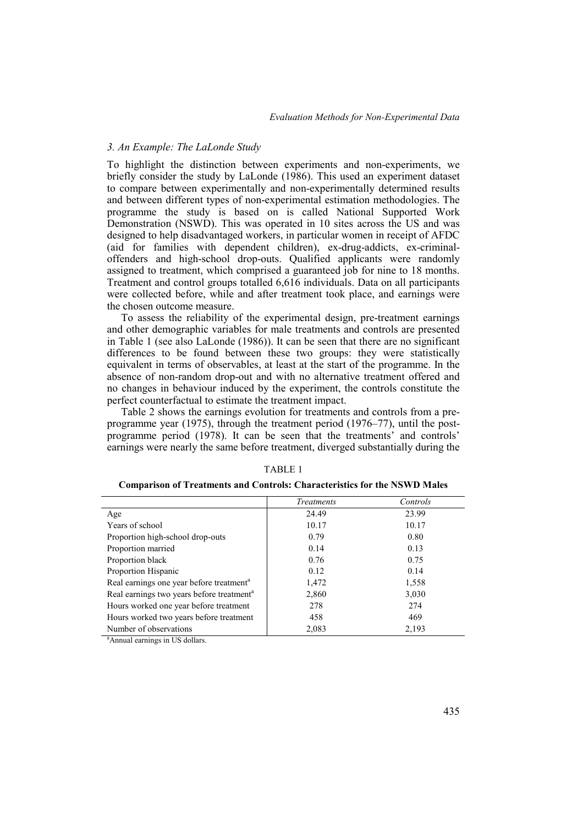## *3. An Example: The LaLonde Study*

To highlight the distinction between experiments and non-experiments, we briefly consider the study by LaLonde (1986). This used an experiment dataset to compare between experimentally and non-experimentally determined results and between different types of non-experimental estimation methodologies. The programme the study is based on is called National Supported Work Demonstration (NSWD). This was operated in 10 sites across the US and was designed to help disadvantaged workers, in particular women in receipt of AFDC (aid for families with dependent children), ex-drug-addicts, ex-criminaloffenders and high-school drop-outs. Qualified applicants were randomly assigned to treatment, which comprised a guaranteed job for nine to 18 months. Treatment and control groups totalled 6,616 individuals. Data on all participants were collected before, while and after treatment took place, and earnings were the chosen outcome measure.

To assess the reliability of the experimental design, pre-treatment earnings and other demographic variables for male treatments and controls are presented in Table 1 (see also LaLonde (1986)). It can be seen that there are no significant differences to be found between these two groups: they were statistically equivalent in terms of observables, at least at the start of the programme. In the absence of non-random drop-out and with no alternative treatment offered and no changes in behaviour induced by the experiment, the controls constitute the perfect counterfactual to estimate the treatment impact.

Table 2 shows the earnings evolution for treatments and controls from a preprogramme year (1975), through the treatment period (1976–77), until the postprogramme period (1978). It can be seen that the treatments' and controls' earnings were nearly the same before treatment, diverged substantially during the

|                                                                                                                                                                                                                                                                                                                                                                               | <i>Treatments</i> | Controls |
|-------------------------------------------------------------------------------------------------------------------------------------------------------------------------------------------------------------------------------------------------------------------------------------------------------------------------------------------------------------------------------|-------------------|----------|
| Age                                                                                                                                                                                                                                                                                                                                                                           | 24.49             | 23.99    |
| Years of school                                                                                                                                                                                                                                                                                                                                                               | 10.17             | 10.17    |
| Proportion high-school drop-outs                                                                                                                                                                                                                                                                                                                                              | 0.79              | 0.80     |
| Proportion married                                                                                                                                                                                                                                                                                                                                                            | 0.14              | 0.13     |
| Proportion black                                                                                                                                                                                                                                                                                                                                                              | 0.76              | 0.75     |
| Proportion Hispanic                                                                                                                                                                                                                                                                                                                                                           | 0.12              | 0.14     |
| Real earnings one year before treatment <sup>a</sup>                                                                                                                                                                                                                                                                                                                          | 1,472             | 1,558    |
| Real earnings two years before treatment <sup>a</sup>                                                                                                                                                                                                                                                                                                                         | 2,860             | 3,030    |
| Hours worked one year before treatment                                                                                                                                                                                                                                                                                                                                        | 278               | 274      |
| Hours worked two years before treatment                                                                                                                                                                                                                                                                                                                                       | 458               | 469      |
| Number of observations<br>$\overline{a}$ . $\overline{a}$ . $\overline{a}$ . $\overline{a}$ . $\overline{a}$ . $\overline{a}$ . $\overline{a}$ . $\overline{a}$ . $\overline{a}$ . $\overline{a}$ . $\overline{a}$ . $\overline{a}$ . $\overline{a}$ . $\overline{a}$ . $\overline{a}$ . $\overline{a}$ . $\overline{a}$ . $\overline{a}$ . $\overline{a}$ . $\overline{a}$ . | 2,083             | 2,193    |

TABLE 1

## **Comparison of Treatments and Controls: Characteristics for the NSWD Males**

<sup>a</sup> Annual earnings in US dollars.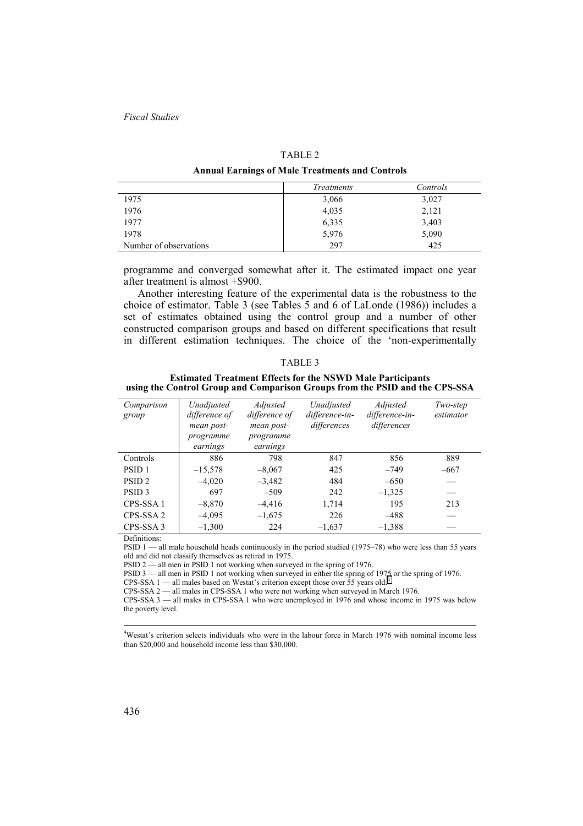| $\sim$ $\sim$ $\sim$ $\sim$ $\sim$ $\sim$ $\sim$ | <i>Treatments</i> | Controls |
|--------------------------------------------------|-------------------|----------|
| 1975                                             | 3,066             | 3,027    |
| 1976                                             | 4,035             | 2,121    |
| 1977                                             | 6,335             | 3,403    |
| 1978                                             | 5,976             | 5,090    |
| Number of observations                           | 297               | 425      |

TABLE 2 **Annual Earnings of Male Treatments and Controls** 

programme and converged somewhat after it. The estimated impact one year after treatment is almost +\$900.

Another interesting feature of the experimental data is the robustness to the choice of estimator. Table 3 (see Tables 5 and 6 of LaLonde (1986)) includes a set of estimates obtained using the control group and a number of other constructed comparison groups and based on different specifications that result in different estimation techniques. The choice of the 'non-experimentally

TABLE 3

**Estimated Treatment Effects for the NSWD Male Participants using the Control Group and Comparison Groups from the PSID and the CPS-SSA** 

| Comparison<br>group | Unadjusted<br>difference of<br>mean post-<br>programme<br>earnings | Adjusted<br>difference of<br>mean post-<br>programme<br>earnings | Unadjusted<br>difference-in-<br>differences | Adjusted<br>difference-in-<br>differences | Two-step<br>estimator |
|---------------------|--------------------------------------------------------------------|------------------------------------------------------------------|---------------------------------------------|-------------------------------------------|-----------------------|
| Controls            | 886                                                                | 798                                                              | 847                                         | 856                                       | 889                   |
| PSID <sub>1</sub>   | $-15,578$                                                          | $-8.067$                                                         | 425                                         | $-749$                                    | $-667$                |
| PSID <sub>2</sub>   | $-4,020$                                                           | $-3,482$                                                         | 484                                         | $-650$                                    |                       |
| PSID <sub>3</sub>   | 697                                                                | $-509$                                                           | 242                                         | $-1,325$                                  |                       |
| CPS-SSA 1           | $-8,870$                                                           | $-4,416$                                                         | 1,714                                       | 195                                       | 213                   |
| CPS-SSA 2           | $-4,095$                                                           | $-1,675$                                                         | 226                                         | $-488$                                    |                       |
| CPS-SSA 3           | $-1,300$                                                           | 224                                                              | $-1,637$                                    | $-1,388$                                  |                       |
| Definitional        |                                                                    |                                                                  |                                             |                                           |                       |

Definitions:

PSID 1 — all male household heads continuously in the period studied (1975–78) who were less than 55 years old and did not classify themselves as retired in 1975.

PSID 2 — all men in PSID 1 not working when surveyed in the spring of 1976.

PSID 3 — all men in PSID 1 not working when surveyed in either the spring of 1975 or the spring of 1976.

CPS-SSA 1 — all males based on Westat's criterion except those over 55 years old.<sup>4</sup>

CPS-SSA 2 — all males in CPS-SSA 1 who were not working when surveyed in March 1976.

CPS-SSA 3 — all males in CPS-SSA 1 who were unemployed in 1976 and whose income in 1975 was below the poverty level.

 $\frac{1}{4}$ Westat's criterion selects individuals who were in the labour force in March 1976 with nominal income less than \$20,000 and household income less than \$30,000.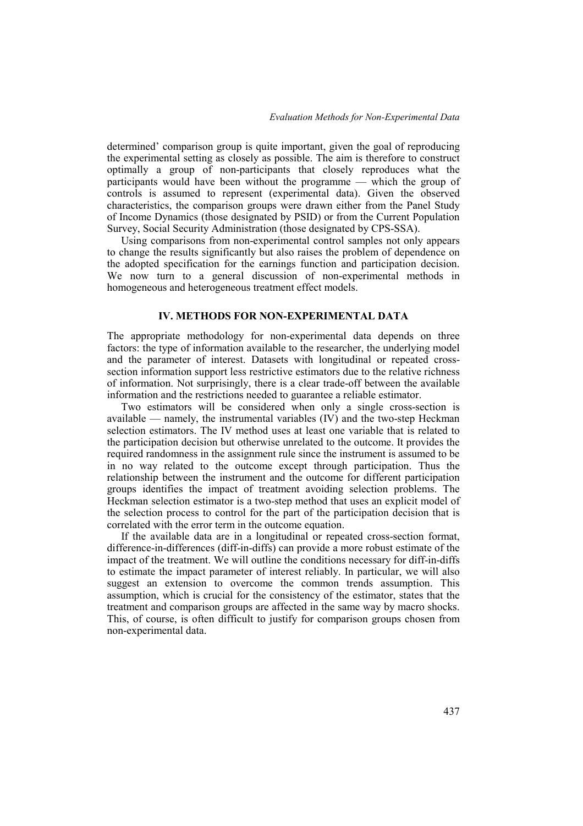determined' comparison group is quite important, given the goal of reproducing the experimental setting as closely as possible. The aim is therefore to construct optimally a group of non-participants that closely reproduces what the participants would have been without the programme — which the group of controls is assumed to represent (experimental data). Given the observed characteristics, the comparison groups were drawn either from the Panel Study of Income Dynamics (those designated by PSID) or from the Current Population Survey, Social Security Administration (those designated by CPS-SSA).

Using comparisons from non-experimental control samples not only appears to change the results significantly but also raises the problem of dependence on the adopted specification for the earnings function and participation decision. We now turn to a general discussion of non-experimental methods in homogeneous and heterogeneous treatment effect models.

# **IV. METHODS FOR NON-EXPERIMENTAL DATA**

The appropriate methodology for non-experimental data depends on three factors: the type of information available to the researcher, the underlying model and the parameter of interest. Datasets with longitudinal or repeated crosssection information support less restrictive estimators due to the relative richness of information. Not surprisingly, there is a clear trade-off between the available information and the restrictions needed to guarantee a reliable estimator.

Two estimators will be considered when only a single cross-section is available — namely, the instrumental variables (IV) and the two-step Heckman selection estimators. The IV method uses at least one variable that is related to the participation decision but otherwise unrelated to the outcome. It provides the required randomness in the assignment rule since the instrument is assumed to be in no way related to the outcome except through participation. Thus the relationship between the instrument and the outcome for different participation groups identifies the impact of treatment avoiding selection problems. The Heckman selection estimator is a two-step method that uses an explicit model of the selection process to control for the part of the participation decision that is correlated with the error term in the outcome equation.

If the available data are in a longitudinal or repeated cross-section format, difference-in-differences (diff-in-diffs) can provide a more robust estimate of the impact of the treatment. We will outline the conditions necessary for diff-in-diffs to estimate the impact parameter of interest reliably. In particular, we will also suggest an extension to overcome the common trends assumption. This assumption, which is crucial for the consistency of the estimator, states that the treatment and comparison groups are affected in the same way by macro shocks. This, of course, is often difficult to justify for comparison groups chosen from non-experimental data.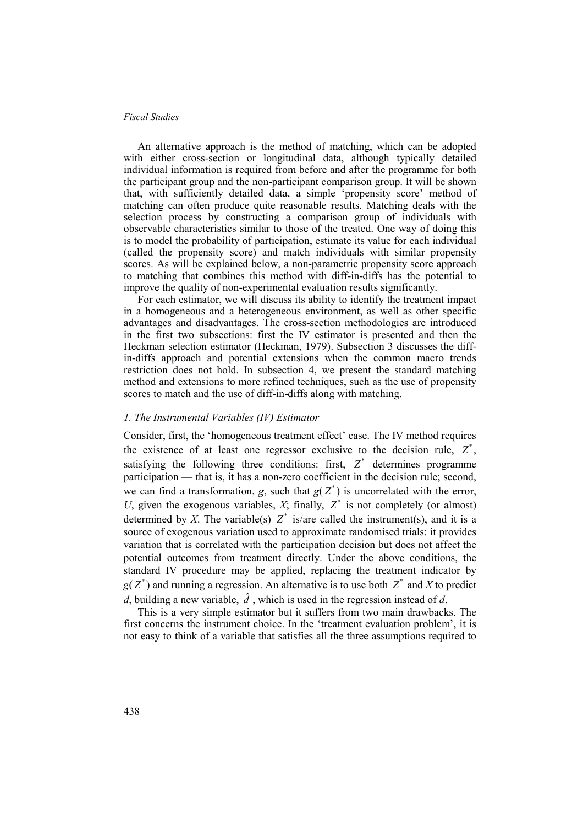An alternative approach is the method of matching, which can be adopted with either cross-section or longitudinal data, although typically detailed individual information is required from before and after the programme for both the participant group and the non-participant comparison group. It will be shown that, with sufficiently detailed data, a simple 'propensity score' method of matching can often produce quite reasonable results. Matching deals with the selection process by constructing a comparison group of individuals with observable characteristics similar to those of the treated. One way of doing this is to model the probability of participation, estimate its value for each individual (called the propensity score) and match individuals with similar propensity scores. As will be explained below, a non-parametric propensity score approach to matching that combines this method with diff-in-diffs has the potential to improve the quality of non-experimental evaluation results significantly.

For each estimator, we will discuss its ability to identify the treatment impact in a homogeneous and a heterogeneous environment, as well as other specific advantages and disadvantages. The cross-section methodologies are introduced in the first two subsections: first the IV estimator is presented and then the Heckman selection estimator (Heckman, 1979). Subsection 3 discusses the diffin-diffs approach and potential extensions when the common macro trends restriction does not hold. In subsection 4, we present the standard matching method and extensions to more refined techniques, such as the use of propensity scores to match and the use of diff-in-diffs along with matching.

## *1. The Instrumental Variables (IV) Estimator*

Consider, first, the 'homogeneous treatment effect' case. The IV method requires the existence of at least one regressor exclusive to the decision rule,  $Z^*$ , satisfying the following three conditions: first,  $Z^*$  determines programme participation — that is, it has a non-zero coefficient in the decision rule; second, we can find a transformation, *g*, such that  $g(Z^*)$  is uncorrelated with the error, *U*, given the exogenous variables, *X*; finally,  $Z^*$  is not completely (or almost) determined by *X*. The variable(s)  $Z^*$  is/are called the instrument(s), and it is a source of exogenous variation used to approximate randomised trials: it provides variation that is correlated with the participation decision but does not affect the potential outcomes from treatment directly. Under the above conditions, the standard IV procedure may be applied, replacing the treatment indicator by  $g(Z^*)$  and running a regression. An alternative is to use both  $Z^*$  and X to predict d, building a new variable,  $\hat{d}$ , which is used in the regression instead of d.

This is a very simple estimator but it suffers from two main drawbacks. The first concerns the instrument choice. In the 'treatment evaluation problem', it is not easy to think of a variable that satisfies all the three assumptions required to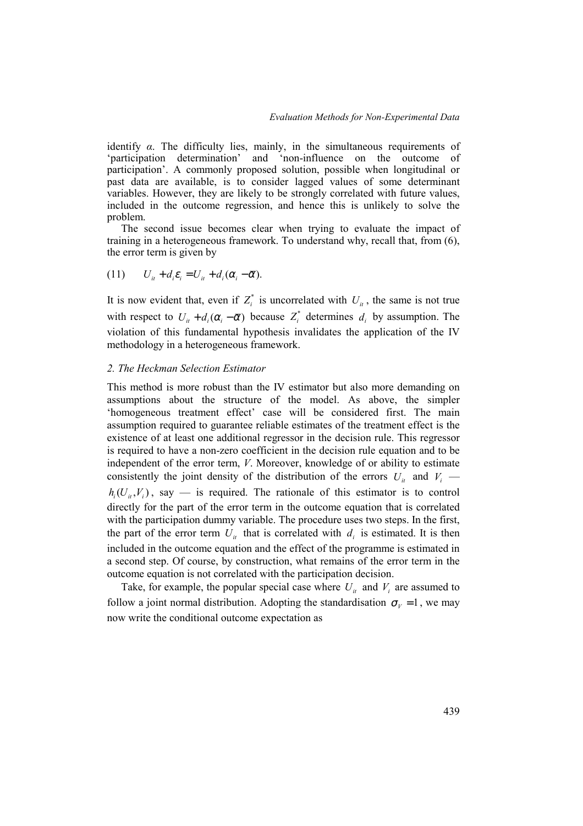identify *α*. The difficulty lies, mainly, in the simultaneous requirements of 'participation determination' and 'non-influence on the outcome of participation'. A commonly proposed solution, possible when longitudinal or past data are available, is to consider lagged values of some determinant variables. However, they are likely to be strongly correlated with future values, included in the outcome regression, and hence this is unlikely to solve the problem.

The second issue becomes clear when trying to evaluate the impact of training in a heterogeneous framework. To understand why, recall that, from (6), the error term is given by

$$
(11) \tU_{it} + d_i \varepsilon_i = U_{it} + d_i (\alpha_i - \overline{\alpha}).
$$

It is now evident that, even if  $Z_i^*$  is uncorrelated with  $U_i$ , the same is not true with respect to  $U_{i} + d_{i}(\alpha_{i} - \overline{\alpha})$  because  $Z_{i}^{*}$  determines  $d_{i}$  by assumption. The violation of this fundamental hypothesis invalidates the application of the IV methodology in a heterogeneous framework.

## *2. The Heckman Selection Estimator*

This method is more robust than the IV estimator but also more demanding on assumptions about the structure of the model. As above, the simpler 'homogeneous treatment effect' case will be considered first. The main assumption required to guarantee reliable estimates of the treatment effect is the existence of at least one additional regressor in the decision rule. This regressor is required to have a non-zero coefficient in the decision rule equation and to be independent of the error term, *V*. Moreover, knowledge of or ability to estimate consistently the joint density of the distribution of the errors  $U_i$  and  $V_i$   $h_i(U_i, V_i)$ , say — is required. The rationale of this estimator is to control directly for the part of the error term in the outcome equation that is correlated with the participation dummy variable. The procedure uses two steps. In the first, the part of the error term  $U_{ii}$  that is correlated with  $d_i$  is estimated. It is then included in the outcome equation and the effect of the programme is estimated in a second step. Of course, by construction, what remains of the error term in the outcome equation is not correlated with the participation decision.

Take, for example, the popular special case where  $U_{it}$  and  $V_i$  are assumed to follow a joint normal distribution. Adopting the standardisation  $\sigma_v = 1$ , we may now write the conditional outcome expectation as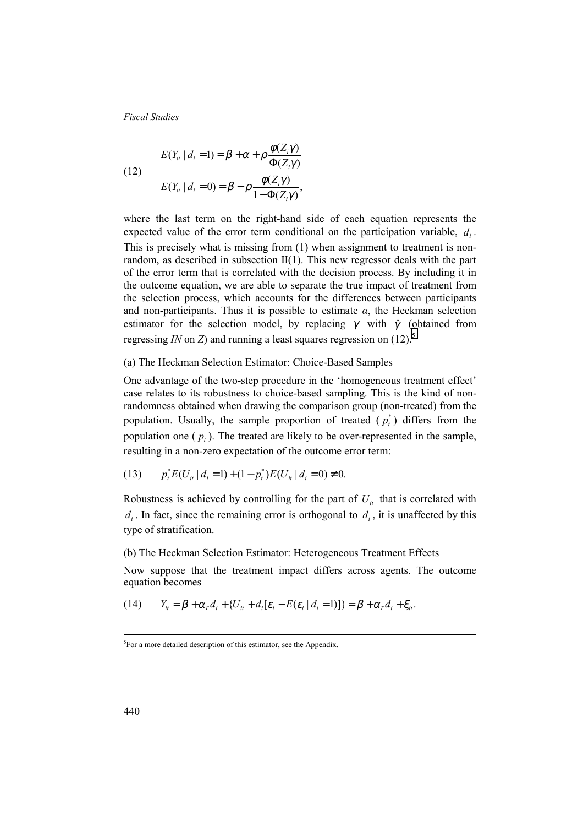(12)  

$$
E(Y_{ii} | d_i = 1) = \beta + \alpha + \rho \frac{\phi(Z_i \gamma)}{\Phi(Z_i \gamma)}
$$

$$
E(Y_{ii} | d_i = 0) = \beta - \rho \frac{\phi(Z_i \gamma)}{1 - \Phi(Z_i \gamma)},
$$

where the last term on the right-hand side of each equation represents the expected value of the error term conditional on the participation variable,  $d_i$ . This is precisely what is missing from (1) when assignment to treatment is nonrandom, as described in subsection  $II(1)$ . This new regressor deals with the part of the error term that is correlated with the decision process. By including it in the outcome equation, we are able to separate the true impact of treatment from the selection process, which accounts for the differences between participants and non-participants. Thus it is possible to estimate  $\alpha$ , the Heckman selection estimator for the selection model, by replacing  $\gamma$  with  $\hat{\gamma}$  (obtained from regressing *IN* on *Z*) and running a least squares regression on  $(12)$ .<sup>5</sup>

(a) The Heckman Selection Estimator: Choice-Based Samples

One advantage of the two-step procedure in the 'homogeneous treatment effect' case relates to its robustness to choice-based sampling. This is the kind of nonrandomness obtained when drawing the comparison group (non-treated) from the population. Usually, the sample proportion of treated  $(p_t^*)$  differs from the population one  $(p_t)$ . The treated are likely to be over-represented in the sample, resulting in a non-zero expectation of the outcome error term:

$$
(13) \t p_t^* E(U_{it} | d_i = 1) + (1 - p_t^*) E(U_{it} | d_i = 0) \neq 0.
$$

Robustness is achieved by controlling for the part of  $U_{it}$  that is correlated with  $d_i$ . In fact, since the remaining error is orthogonal to  $d_i$ , it is unaffected by this type of stratification.

(b) The Heckman Selection Estimator: Heterogeneous Treatment Effects

Now suppose that the treatment impact differs across agents. The outcome equation becomes

(14) 
$$
Y_{it} = \beta + \alpha_T d_i + \{U_{it} + d_i[\varepsilon_i - E(\varepsilon_i | d_i = 1)]\} = \beta + \alpha_T d_i + \xi_{it}.
$$

 $\frac{1}{5}$  ${}^{5}$ For a more detailed description of this estimator, see the Appendix.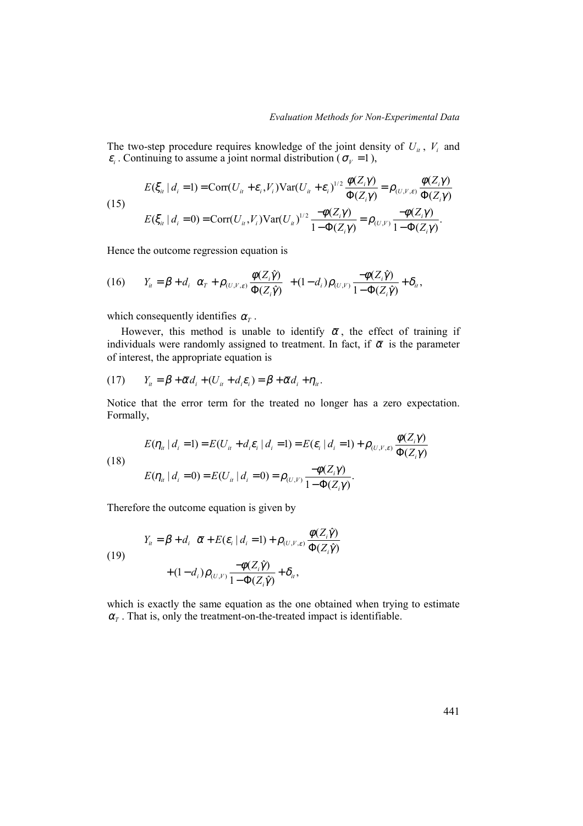The two-step procedure requires knowledge of the joint density of  $U_i$ ,  $V_i$  and  $\varepsilon_i$ . Continuing to assume a joint normal distribution ( $\sigma_y = 1$ ),

(15)  
\n
$$
E(\xi_{ii} \mid d_i = 1) = \text{Corr}(U_{ii} + \varepsilon_i, V_i) \text{Var}(U_{ii} + \varepsilon_i)^{1/2} \frac{\phi(Z_i \gamma)}{\Phi(Z_i \gamma)} = \rho_{(U, V, \varepsilon)} \frac{\phi(Z_i \gamma)}{\Phi(Z_i \gamma)}
$$
\n
$$
E(\xi_{ii} \mid d_i = 0) = \text{Corr}(U_{ii}, V_i) \text{Var}(U_{ii})^{1/2} \frac{-\phi(Z_i \gamma)}{1 - \Phi(Z_i \gamma)} = \rho_{(U, V)} \frac{-\phi(Z_i \gamma)}{1 - \Phi(Z_i \gamma)}.
$$

Hence the outcome regression equation is

(16) 
$$
Y_{ii} = \beta + d_i \left[ \alpha_T + \rho_{(U,V,\varepsilon)} \frac{\phi(Z_i \hat{\gamma})}{\Phi(Z_i \hat{\gamma})} \right] + (1 - d_i) \rho_{(U,V)} \frac{-\phi(Z_i \hat{\gamma})}{1 - \Phi(Z_i \hat{\gamma})} + \delta_{ii},
$$

which consequently identifies  $\alpha_T$ .

However, this method is unable to identify  $\bar{\alpha}$ , the effect of training if individuals were randomly assigned to treatment. In fact, if  $\bar{\alpha}$  is the parameter of interest, the appropriate equation is

$$
(17) \qquad Y_{ii} = \beta + \overline{\alpha}d_i + (U_{ii} + d_i \varepsilon_i) = \beta + \overline{\alpha}d_i + \eta_{ii}.
$$

Notice that the error term for the treated no longer has a zero expectation. Formally,

(18)  
\n
$$
E(\eta_{ii} | d_i = 1) = E(U_{ii} + d_i \varepsilon_i | d_i = 1) = E(\varepsilon_i | d_i = 1) + \rho_{(U,V,\varepsilon)} \frac{\phi(Z_i \gamma)}{\Phi(Z_i \gamma)}
$$
\n
$$
E(\eta_{ii} | d_i = 0) = E(U_{ii} | d_i = 0) = \rho_{(U,V)} \frac{-\phi(Z_i \gamma)}{1 - \Phi(Z_i \gamma)}.
$$

Therefore the outcome equation is given by

(19)  
\n
$$
Y_{ii} = \beta + d_i \left[ \overline{\alpha} + E(\varepsilon_i | d_i = 1) + \rho_{(U,V,\varepsilon)} \frac{\phi(Z_i \hat{\gamma})}{\Phi(Z_i \hat{\gamma})} \right] + (1 - d_i) \rho_{(U,V)} \frac{-\phi(Z_i \hat{\gamma})}{1 - \Phi(Z_i \hat{\gamma})} + \delta_{ii},
$$

which is exactly the same equation as the one obtained when trying to estimate  $\alpha_T$ . That is, only the treatment-on-the-treated impact is identifiable.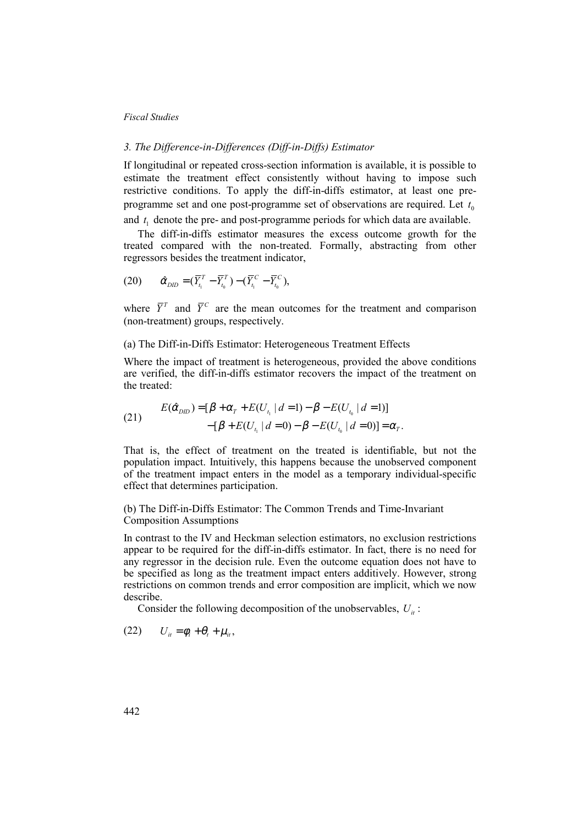# *3. The Difference-in-Differences (Diff-in-Diffs) Estimator*

If longitudinal or repeated cross-section information is available, it is possible to estimate the treatment effect consistently without having to impose such restrictive conditions. To apply the diff-in-diffs estimator, at least one preprogramme set and one post-programme set of observations are required. Let  $t_0$ 

and  $t_1$  denote the pre- and post-programme periods for which data are available.

The diff-in-diffs estimator measures the excess outcome growth for the treated compared with the non-treated. Formally, abstracting from other regressors besides the treatment indicator,

(20) 
$$
\hat{\alpha}_{DID} = (\bar{Y}_{t_1}^T - \bar{Y}_{t_0}^T) - (\bar{Y}_{t_1}^C - \bar{Y}_{t_0}^C),
$$

where  $\overline{Y}^T$  and  $\overline{Y}^C$  are the mean outcomes for the treatment and comparison (non-treatment) groups, respectively.

(a) The Diff-in-Diffs Estimator: Heterogeneous Treatment Effects

Where the impact of treatment is heterogeneous, provided the above conditions are verified, the diff-in-diffs estimator recovers the impact of the treatment on the treated:

(21) 
$$
E(\hat{\alpha}_{DID}) = [\beta + \alpha_T + E(U_{t_1} | d = 1) - \beta - E(U_{t_0} | d = 1)] - [\beta + E(U_{t_1} | d = 0) - \beta - E(U_{t_0} | d = 0)] = \alpha_T.
$$

That is, the effect of treatment on the treated is identifiable, but not the population impact. Intuitively, this happens because the unobserved component of the treatment impact enters in the model as a temporary individual-specific effect that determines participation.

(b) The Diff-in-Diffs Estimator: The Common Trends and Time-Invariant Composition Assumptions

In contrast to the IV and Heckman selection estimators, no exclusion restrictions appear to be required for the diff-in-diffs estimator. In fact, there is no need for any regressor in the decision rule. Even the outcome equation does not have to be specified as long as the treatment impact enters additively. However, strong restrictions on common trends and error composition are implicit, which we now describe.

Consider the following decomposition of the unobservables,  $U_i$ :

$$
(22) \tU_{it} = \phi_i + \theta_t + \mu_{it},
$$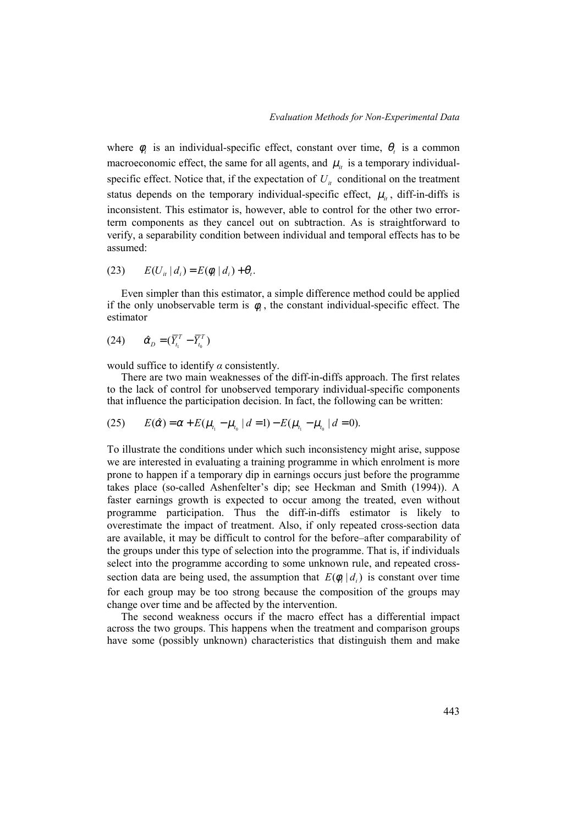where  $\phi_i$  is an individual-specific effect, constant over time,  $\theta_i$  is a common macroeconomic effect, the same for all agents, and  $\mu_i$  is a temporary individualspecific effect. Notice that, if the expectation of  $U_{it}$  conditional on the treatment status depends on the temporary individual-specific effect,  $\mu_{it}$ , diff-in-diffs is inconsistent. This estimator is, however, able to control for the other two errorterm components as they cancel out on subtraction. As is straightforward to verify, a separability condition between individual and temporal effects has to be assumed:

$$
(23) \qquad E(U_{ii} \mid d_i) = E(\phi_i \mid d_i) + \theta_i.
$$

Even simpler than this estimator, a simple difference method could be applied if the only unobservable term is  $\phi$ , the constant individual-specific effect. The estimator

$$
(24) \qquad \hat{\alpha}_{D} = (\overline{Y}_{t_1}^T - \overline{Y}_{t_0}^T)
$$

would suffice to identify *α* consistently.

There are two main weaknesses of the diff-in-diffs approach. The first relates to the lack of control for unobserved temporary individual-specific components that influence the participation decision. In fact, the following can be written:

(25) 
$$
E(\hat{\alpha}) = \alpha + E(\mu_{t_1} - \mu_{t_0} | d = 1) - E(\mu_{t_1} - \mu_{t_0} | d = 0).
$$

To illustrate the conditions under which such inconsistency might arise, suppose we are interested in evaluating a training programme in which enrolment is more prone to happen if a temporary dip in earnings occurs just before the programme takes place (so-called Ashenfelter's dip; see Heckman and Smith (1994)). A faster earnings growth is expected to occur among the treated, even without programme participation. Thus the diff-in-diffs estimator is likely to overestimate the impact of treatment. Also, if only repeated cross-section data are available, it may be difficult to control for the before–after comparability of the groups under this type of selection into the programme. That is, if individuals select into the programme according to some unknown rule, and repeated crosssection data are being used, the assumption that  $E(\phi, |d_i)$  is constant over time for each group may be too strong because the composition of the groups may change over time and be affected by the intervention.

The second weakness occurs if the macro effect has a differential impact across the two groups. This happens when the treatment and comparison groups have some (possibly unknown) characteristics that distinguish them and make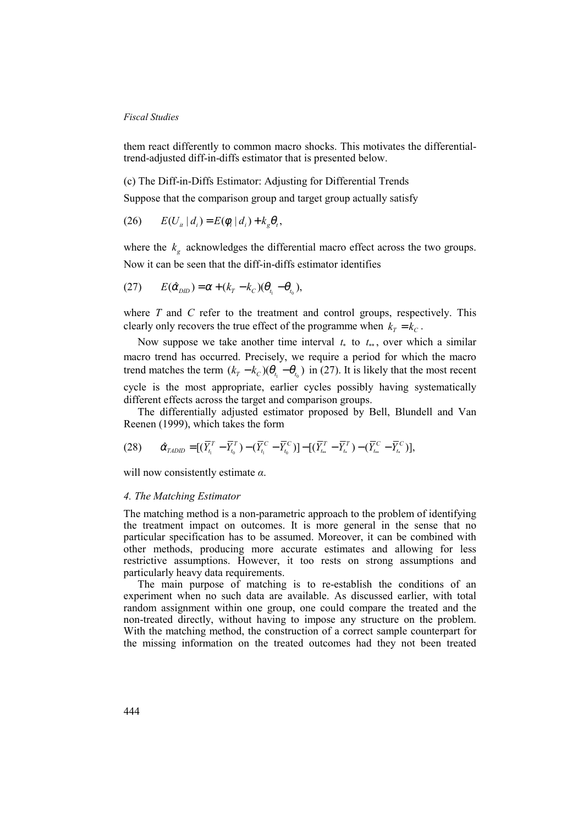them react differently to common macro shocks. This motivates the differentialtrend-adjusted diff-in-diffs estimator that is presented below.

(c) The Diff-in-Diffs Estimator: Adjusting for Differential Trends

Suppose that the comparison group and target group actually satisfy

(26) 
$$
E(U_{it} | d_i) = E(\phi_i | d_i) + k_{g} \theta_{t},
$$

where the  $k_g$  acknowledges the differential macro effect across the two groups. Now it can be seen that the diff-in-diffs estimator identifies

$$
(27) \qquad E(\hat{\alpha}_{\text{DID}}) = \alpha + (k_T - k_C)(\theta_{t_1} - \theta_{t_0}),
$$

where *T* and *C* refer to the treatment and control groups, respectively. This clearly only recovers the true effect of the programme when  $k_T = k_C$ .

Now suppose we take another time interval  $t_*$  to  $t_{**}$ , over which a similar macro trend has occurred. Precisely, we require a period for which the macro trend matches the term  $(k_T - k_C)(\theta_{t_1} - \theta_{t_0})$  in (27). It is likely that the most recent cycle is the most appropriate, earlier cycles possibly having systematically different effects across the target and comparison groups.

The differentially adjusted estimator proposed by Bell, Blundell and Van Reenen (1999), which takes the form

(28) 
$$
\hat{\alpha}_{TADD} = [(\bar{Y}_{t_1}^T - \bar{Y}_{t_0}^T) - (\bar{Y}_{t_1}^C - \bar{Y}_{t_0}^C)] - [(\bar{Y}_{t_{\text{in}}}^T - \bar{Y}_{t_{\text{in}}}^T) - (\bar{Y}_{t_{\text{in}}}^C - \bar{Y}_{t_{\text{in}}}^C)],
$$

will now consistently estimate *α*.

## *4. The Matching Estimator*

The matching method is a non-parametric approach to the problem of identifying the treatment impact on outcomes. It is more general in the sense that no particular specification has to be assumed. Moreover, it can be combined with other methods, producing more accurate estimates and allowing for less restrictive assumptions. However, it too rests on strong assumptions and particularly heavy data requirements.

The main purpose of matching is to re-establish the conditions of an experiment when no such data are available. As discussed earlier, with total random assignment within one group, one could compare the treated and the non-treated directly, without having to impose any structure on the problem. With the matching method, the construction of a correct sample counterpart for the missing information on the treated outcomes had they not been treated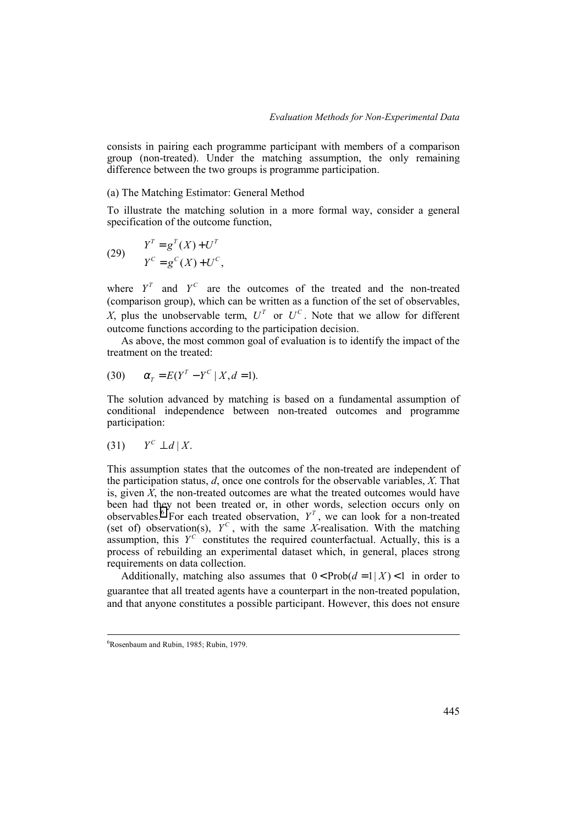consists in pairing each programme participant with members of a comparison group (non-treated). Under the matching assumption, the only remaining difference between the two groups is programme participation.

## (a) The Matching Estimator: General Method

To illustrate the matching solution in a more formal way, consider a general specification of the outcome function,

$$
(29) \qquad \begin{aligned} Y^T &= g^T(X) + U^T \\ Y^C &= g^C(X) + U^C, \end{aligned}
$$

where  $Y^T$  and  $Y^C$  are the outcomes of the treated and the non-treated (comparison group), which can be written as a function of the set of observables, X, plus the unobservable term,  $U^T$  or  $U^C$ . Note that we allow for different outcome functions according to the participation decision.

As above, the most common goal of evaluation is to identify the impact of the treatment on the treated:

(30) 
$$
\alpha_T = E(Y^T - Y^C | X, d = 1).
$$

The solution advanced by matching is based on a fundamental assumption of conditional independence between non-treated outcomes and programme participation:

$$
(31) \tY^C \perp d \mid X.
$$

This assumption states that the outcomes of the non-treated are independent of the participation status, *d*, once one controls for the observable variables, *X*. That is, given *X*, the non-treated outcomes are what the treated outcomes would have been had they not been treated or, in other words, selection occurs only on observables.<sup>6</sup> For each treated observation,  $Y^T$ , we can look for a non-treated (set of) observation(s),  $Y^C$ , with the same *X*-realisation. With the matching assumption, this  $Y^C$  constitutes the required counterfactual. Actually, this is a process of rebuilding an experimental dataset which, in general, places strong requirements on data collection.

Additionally, matching also assumes that  $0 < \text{Prob}(d = 1 | X) < 1$  in order to guarantee that all treated agents have a counterpart in the non-treated population, and that anyone constitutes a possible participant. However, this does not ensure

 $\frac{1}{6}$ Rosenbaum and Rubin, 1985; Rubin, 1979.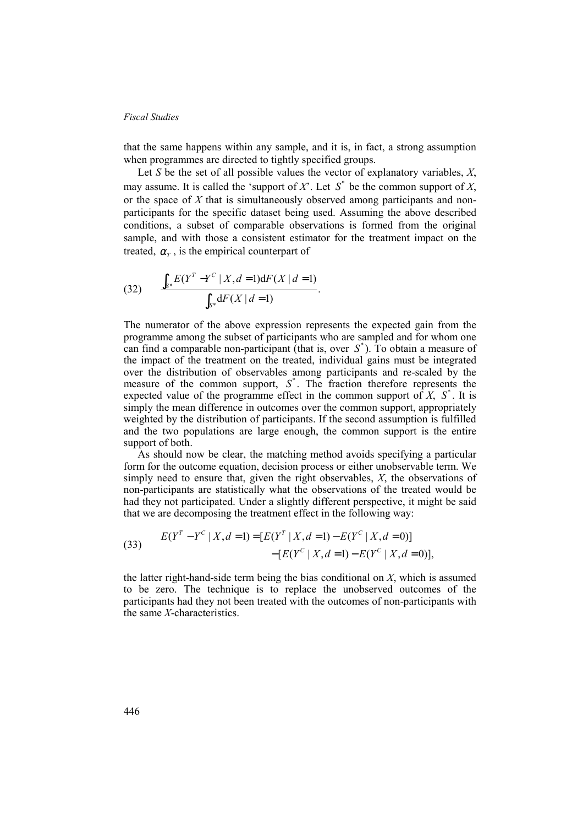that the same happens within any sample, and it is, in fact, a strong assumption when programmes are directed to tightly specified groups.

Let *S* be the set of all possible values the vector of explanatory variables, *X*, may assume. It is called the 'support of  $X$ '. Let  $S^*$  be the common support of  $X$ , or the space of *X* that is simultaneously observed among participants and nonparticipants for the specific dataset being used. Assuming the above described conditions, a subset of comparable observations is formed from the original sample, and with those a consistent estimator for the treatment impact on the treated,  $\alpha_{\tau}$ , is the empirical counterpart of

(32) 
$$
\frac{\int_{S^*} E(Y^T - Y^C | X, d = 1) dF(X | d = 1)}{\int_{S^*} dF(X | d = 1)}.
$$

The numerator of the above expression represents the expected gain from the programme among the subset of participants who are sampled and for whom one can find a comparable non-participant (that is, over  $S^*$ ). To obtain a measure of the impact of the treatment on the treated, individual gains must be integrated over the distribution of observables among participants and re-scaled by the measure of the common support,  $S^*$ . The fraction therefore represents the expected value of the programme effect in the common support of  $X$ ,  $S^*$ . It is simply the mean difference in outcomes over the common support, appropriately weighted by the distribution of participants. If the second assumption is fulfilled and the two populations are large enough, the common support is the entire support of both.

As should now be clear, the matching method avoids specifying a particular form for the outcome equation, decision process or either unobservable term. We simply need to ensure that, given the right observables, *X*, the observations of non-participants are statistically what the observations of the treated would be had they not participated. Under a slightly different perspective, it might be said that we are decomposing the treatment effect in the following way:

(33) 
$$
E(Y^{T} - Y^{C} | X, d = 1) = [E(Y^{T} | X, d = 1) - E(Y^{C} | X, d = 0)] - [E(Y^{C} | X, d = 1) - E(Y^{C} | X, d = 0)],
$$

the latter right-hand-side term being the bias conditional on *X*, which is assumed to be zero. The technique is to replace the unobserved outcomes of the participants had they not been treated with the outcomes of non-participants with the same *X*-characteristics.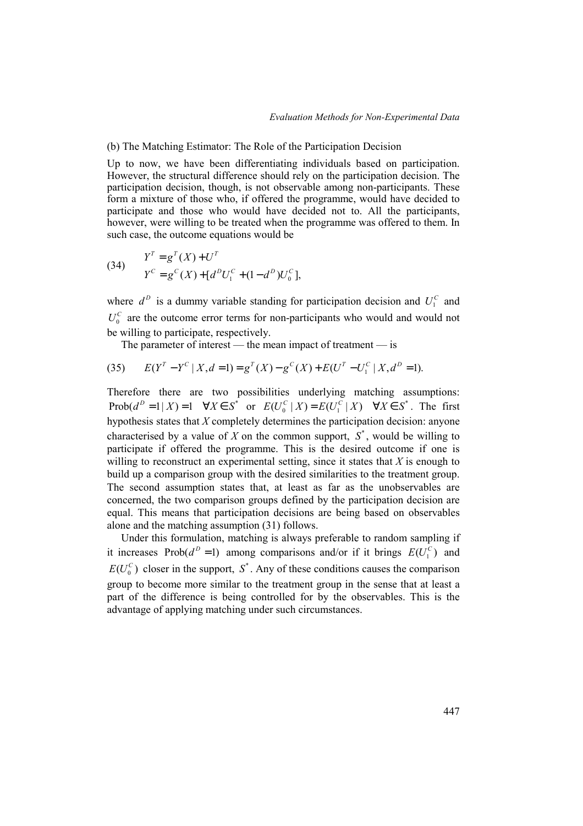# (b) The Matching Estimator: The Role of the Participation Decision

Up to now, we have been differentiating individuals based on participation. However, the structural difference should rely on the participation decision. The participation decision, though, is not observable among non-participants. These form a mixture of those who, if offered the programme, would have decided to participate and those who would have decided not to. All the participants, however, were willing to be treated when the programme was offered to them. In such case, the outcome equations would be

(34) 
$$
Y^T = g^T(X) + U^T
$$

$$
Y^C = g^C(X) + [d^D U_1^C + (1 - d^D)U_0^C],
$$

where  $d^D$  is a dummy variable standing for participation decision and  $U_1^C$  and  $U_0^C$  are the outcome error terms for non-participants who would and would not be willing to participate, respectively.

The parameter of interest — the mean impact of treatment — is

(35) 
$$
E(Y^T - Y^C | X, d = 1) = g^T(X) - g^C(X) + E(U^T - U_1^C | X, d^D = 1).
$$

Therefore there are two possibilities underlying matching assumptions:<br>  $\text{Prob}(d^D = 1 | X) = 1 \quad \forall X \in S^* \text{ or } E(U_0^C | X) = E(U_1^C | X) \quad \forall X \in S^* \text{. The first}$ hypothesis states that *X* completely determines the participation decision: anyone characterised by a value of  $X$  on the common support,  $S^*$ , would be willing to participate if offered the programme. This is the desired outcome if one is willing to reconstruct an experimental setting, since it states that *X* is enough to build up a comparison group with the desired similarities to the treatment group. The second assumption states that, at least as far as the unobservables are concerned, the two comparison groups defined by the participation decision are equal. This means that participation decisions are being based on observables alone and the matching assumption (31) follows.

Under this formulation, matching is always preferable to random sampling if it increases Prob( $d^{D} = 1$ ) among comparisons and/or if it brings  $E(U_1^C)$  and  $E(U_0^C)$  closer in the support, S<sup>\*</sup>. Any of these conditions causes the comparison group to become more similar to the treatment group in the sense that at least a part of the difference is being controlled for by the observables. This is the advantage of applying matching under such circumstances.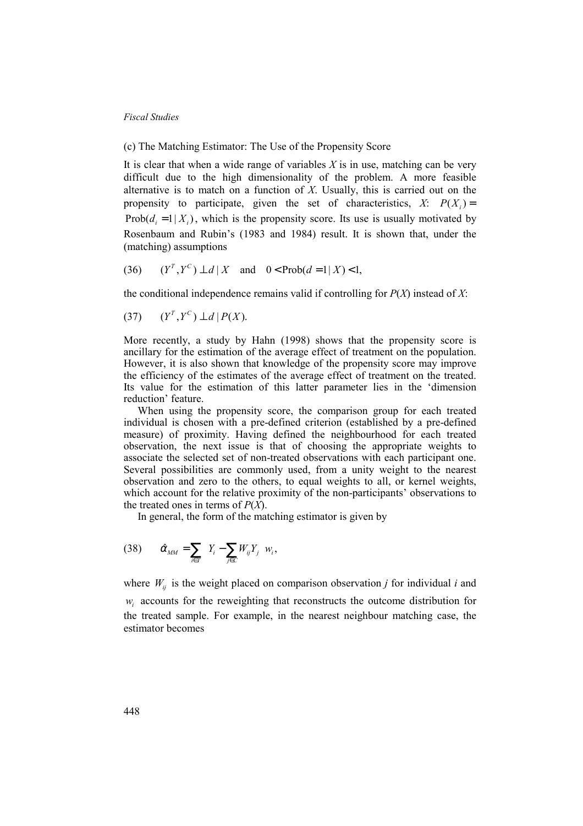# (c) The Matching Estimator: The Use of the Propensity Score

It is clear that when a wide range of variables  $X$  is in use, matching can be very difficult due to the high dimensionality of the problem. A more feasible alternative is to match on a function of *X*. Usually, this is carried out on the propensity to participate, given the set of characteristics,  $X: P(X) =$  $Prob(d_i = 1 | X_i)$ , which is the propensity score. Its use is usually motivated by Rosenbaum and Rubin's (1983 and 1984) result. It is shown that, under the (matching) assumptions

(36) 
$$
(Y^T, Y^C) \perp d \mid X
$$
 and  $0 < \text{Prob}(d = 1 | X) < 1$ ,

the conditional independence remains valid if controlling for *P*(*X*) instead of *X*:

(37) 
$$
(Y^T, Y^C) \perp d \mid P(X)
$$
.

More recently, a study by Hahn (1998) shows that the propensity score is ancillary for the estimation of the average effect of treatment on the population. However, it is also shown that knowledge of the propensity score may improve the efficiency of the estimates of the average effect of treatment on the treated. Its value for the estimation of this latter parameter lies in the 'dimension reduction' feature.

When using the propensity score, the comparison group for each treated individual is chosen with a pre-defined criterion (established by a pre-defined measure) of proximity. Having defined the neighbourhood for each treated observation, the next issue is that of choosing the appropriate weights to associate the selected set of non-treated observations with each participant one. Several possibilities are commonly used, from a unity weight to the nearest observation and zero to the others, to equal weights to all, or kernel weights, which account for the relative proximity of the non-participants' observations to the treated ones in terms of  $P(X)$ .

In general, the form of the matching estimator is given by

$$
(38) \qquad \hat{\alpha}_{MM} = \sum_{i \in T} \left( Y_i - \sum_{j \in C} W_{ij} Y_j \right) w_i,
$$

where  $W_{ii}$  is the weight placed on comparison observation *j* for individual *i* and *wi* accounts for the reweighting that reconstructs the outcome distribution for the treated sample. For example, in the nearest neighbour matching case, the estimator becomes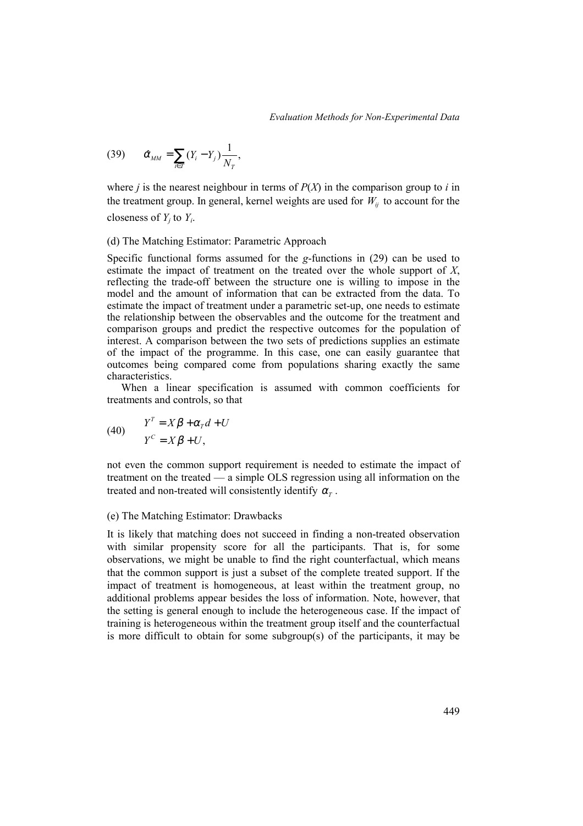(39) 
$$
\hat{\alpha}_{MM} = \sum_{i \in T} (Y_i - Y_j) \frac{1}{N_T},
$$

where  $j$  is the nearest neighbour in terms of  $P(X)$  in the comparison group to  $i$  in the treatment group. In general, kernel weights are used for  $W_{ii}$  to account for the closeness of *Yj* to *Yi*.

# (d) The Matching Estimator: Parametric Approach

Specific functional forms assumed for the *g*-functions in (29) can be used to estimate the impact of treatment on the treated over the whole support of *X*, reflecting the trade-off between the structure one is willing to impose in the model and the amount of information that can be extracted from the data. To estimate the impact of treatment under a parametric set-up, one needs to estimate the relationship between the observables and the outcome for the treatment and comparison groups and predict the respective outcomes for the population of interest. A comparison between the two sets of predictions supplies an estimate of the impact of the programme. In this case, one can easily guarantee that outcomes being compared come from populations sharing exactly the same characteristics.

When a linear specification is assumed with common coefficients for treatments and controls, so that

(40) 
$$
Y^T = X\beta + \alpha_T d + U
$$

$$
Y^C = X\beta + U,
$$

not even the common support requirement is needed to estimate the impact of treatment on the treated — a simple OLS regression using all information on the treated and non-treated will consistently identify  $\alpha_T$ .

#### (e) The Matching Estimator: Drawbacks

It is likely that matching does not succeed in finding a non-treated observation with similar propensity score for all the participants. That is, for some observations, we might be unable to find the right counterfactual, which means that the common support is just a subset of the complete treated support. If the impact of treatment is homogeneous, at least within the treatment group, no additional problems appear besides the loss of information. Note, however, that the setting is general enough to include the heterogeneous case. If the impact of training is heterogeneous within the treatment group itself and the counterfactual is more difficult to obtain for some subgroup(s) of the participants, it may be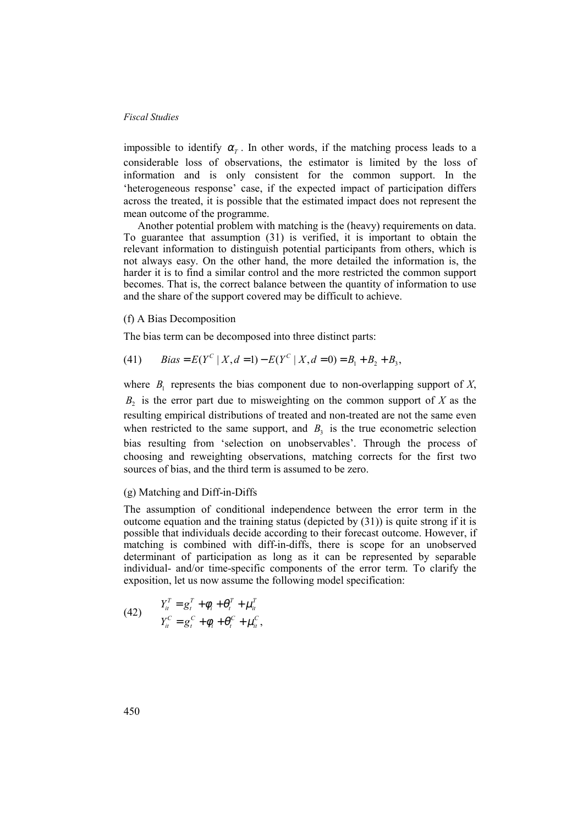impossible to identify  $\alpha_T$ . In other words, if the matching process leads to a considerable loss of observations, the estimator is limited by the loss of information and is only consistent for the common support. In the 'heterogeneous response' case, if the expected impact of participation differs across the treated, it is possible that the estimated impact does not represent the mean outcome of the programme.

Another potential problem with matching is the (heavy) requirements on data. To guarantee that assumption (31) is verified, it is important to obtain the relevant information to distinguish potential participants from others, which is not always easy. On the other hand, the more detailed the information is, the harder it is to find a similar control and the more restricted the common support becomes. That is, the correct balance between the quantity of information to use and the share of the support covered may be difficult to achieve.

## (f) A Bias Decomposition

The bias term can be decomposed into three distinct parts:

(41) 
$$
Bias = E(Y^C | X, d = 1) - E(Y^C | X, d = 0) = B_1 + B_2 + B_3,
$$

where  $B_1$  represents the bias component due to non-overlapping support of  $X$ ,  $B<sub>2</sub>$  is the error part due to misweighting on the common support of *X* as the resulting empirical distributions of treated and non-treated are not the same even when restricted to the same support, and  $B<sub>3</sub>$  is the true econometric selection bias resulting from 'selection on unobservables'. Through the process of choosing and reweighting observations, matching corrects for the first two sources of bias, and the third term is assumed to be zero.

### (g) Matching and Diff-in-Diffs

The assumption of conditional independence between the error term in the outcome equation and the training status (depicted by (31)) is quite strong if it is possible that individuals decide according to their forecast outcome. However, if matching is combined with diff-in-diffs, there is scope for an unobserved determinant of participation as long as it can be represented by separable individual- and/or time-specific components of the error term. To clarify the exposition, let us now assume the following model specification:

(42) 
$$
Y_{it}^T = g_t^T + \phi_i + \theta_i^T + \mu_{it}^T
$$

$$
Y_{it}^C = g_t^C + \phi_i + \theta_i^C + \mu_{it}^C,
$$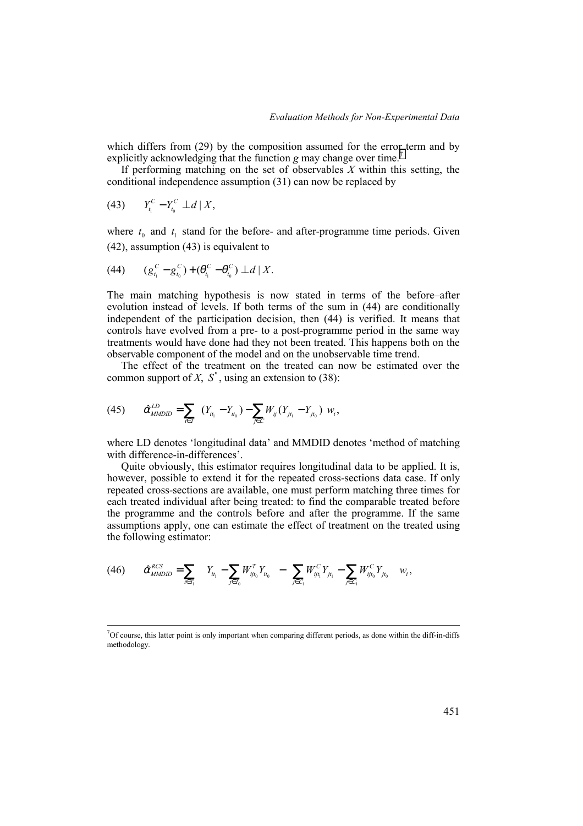which differs from (29) by the composition assumed for the error term and by explicitly acknowledging that the function *g* may change over time.<sup>7</sup>

If performing matching on the set of observables *X* within this setting, the conditional independence assumption (31) can now be replaced by

(43) 
$$
Y_{t_1}^C - Y_{t_0}^C \perp d \mid X,
$$

where  $t_0$  and  $t_1$  stand for the before- and after-programme time periods. Given (42), assumption (43) is equivalent to

(44) 
$$
(g_{t_1}^C - g_{t_0}^C) + (\theta_{t_1}^C - \theta_{t_0}^C) \perp d \mid X.
$$

The main matching hypothesis is now stated in terms of the before–after evolution instead of levels. If both terms of the sum in (44) are conditionally independent of the participation decision, then (44) is verified. It means that controls have evolved from a pre- to a post-programme period in the same way treatments would have done had they not been treated. This happens both on the observable component of the model and on the unobservable time trend.

The effect of the treatment on the treated can now be estimated over the common support of *X*,  $S^*$ , using an extension to (38):

(45) 
$$
\hat{\alpha}_{MMDID}^{LD} = \sum_{i \in T} \left[ (Y_{i t_1} - Y_{i t_0}) - \sum_{j \in C} W_{i j} (Y_{j t_1} - Y_{j t_0}) \right] w_i,
$$

where LD denotes 'longitudinal data' and MMDID denotes 'method of matching with difference-in-differences'.

Quite obviously, this estimator requires longitudinal data to be applied. It is, however, possible to extend it for the repeated cross-sections data case. If only repeated cross-sections are available, one must perform matching three times for each treated individual after being treated: to find the comparable treated before the programme and the controls before and after the programme. If the same assumptions apply, one can estimate the effect of treatment on the treated using the following estimator:

$$
(46) \qquad \hat{\alpha}_{MMDID}^{RCS} = \sum_{i \in T_1} \left[ \left( Y_{it_1} - \sum_{j \in T_0} W_{ijt_0}^T Y_{it_0} \right) - \left( \sum_{j \in C_1} W_{ijt_1}^C Y_{jt_1} - \sum_{j \in C_1} W_{ijt_0}^C Y_{jt_0} \right) \right] w_i,
$$

 $\frac{1}{7}$  $\frac{7}{10}$  course, this latter point is only important when comparing different periods, as done within the diff-in-diffs methodology.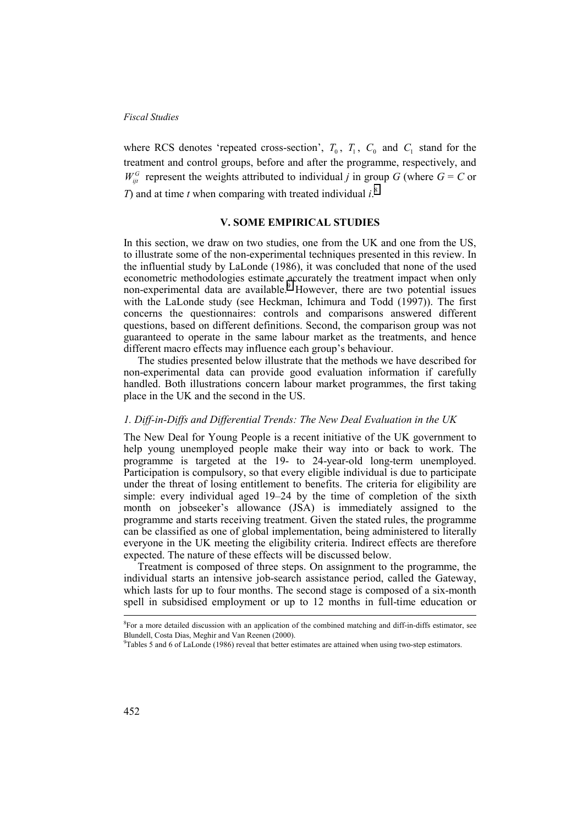where RCS denotes 'repeated cross-section',  $T_0$ ,  $T_1$ ,  $C_0$  and  $C_1$  stand for the treatment and control groups, before and after the programme, respectively, and  $W_{\text{int}}^G$  represent the weights attributed to individual *j* in group *G* (where *G* = *C* or *T*) and at time *t* when comparing with treated individual *i*. 8

## **V. SOME EMPIRICAL STUDIES**

In this section, we draw on two studies, one from the UK and one from the US, to illustrate some of the non-experimental techniques presented in this review. In the influential study by LaLonde (1986), it was concluded that none of the used econometric methodologies estimate accurately the treatment impact when only non-experimental data are available.<sup>9</sup> However, there are two potential issues with the LaLonde study (see Heckman, Ichimura and Todd (1997)). The first concerns the questionnaires: controls and comparisons answered different questions, based on different definitions. Second, the comparison group was not guaranteed to operate in the same labour market as the treatments, and hence different macro effects may influence each group's behaviour.

The studies presented below illustrate that the methods we have described for non-experimental data can provide good evaluation information if carefully handled. Both illustrations concern labour market programmes, the first taking place in the UK and the second in the US.

## *1. Diff-in-Diffs and Differential Trends: The New Deal Evaluation in the UK*

The New Deal for Young People is a recent initiative of the UK government to help young unemployed people make their way into or back to work. The programme is targeted at the 19- to 24-year-old long-term unemployed. Participation is compulsory, so that every eligible individual is due to participate under the threat of losing entitlement to benefits. The criteria for eligibility are simple: every individual aged 19–24 by the time of completion of the sixth month on jobseeker's allowance (JSA) is immediately assigned to the programme and starts receiving treatment. Given the stated rules, the programme can be classified as one of global implementation, being administered to literally everyone in the UK meeting the eligibility criteria. Indirect effects are therefore expected. The nature of these effects will be discussed below.

Treatment is composed of three steps. On assignment to the programme, the individual starts an intensive job-search assistance period, called the Gateway, which lasts for up to four months. The second stage is composed of a six-month spell in subsidised employment or up to 12 months in full-time education or

 $\frac{1}{8}$  ${}^{8}$ For a more detailed discussion with an application of the combined matching and diff-in-diffs estimator, see Blundell, Costa Dias, Meghir and Van Reenen (2000).

 $^{9}$ Tables 5 and 6 of LaLonde (1986) reveal that better estimates are attained when using two-step estimators.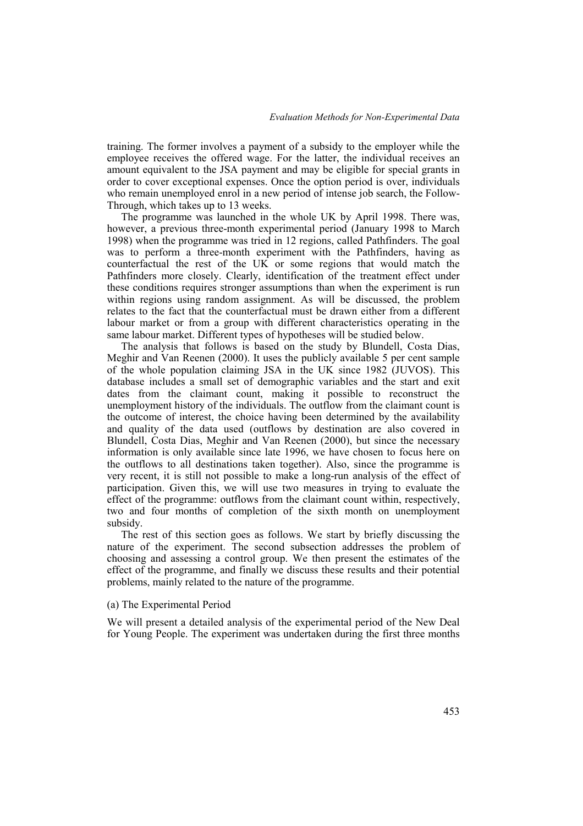training. The former involves a payment of a subsidy to the employer while the employee receives the offered wage. For the latter, the individual receives an amount equivalent to the JSA payment and may be eligible for special grants in order to cover exceptional expenses. Once the option period is over, individuals who remain unemployed enrol in a new period of intense job search, the Follow-Through, which takes up to 13 weeks.

The programme was launched in the whole UK by April 1998. There was, however, a previous three-month experimental period (January 1998 to March 1998) when the programme was tried in 12 regions, called Pathfinders. The goal was to perform a three-month experiment with the Pathfinders, having as counterfactual the rest of the UK or some regions that would match the Pathfinders more closely. Clearly, identification of the treatment effect under these conditions requires stronger assumptions than when the experiment is run within regions using random assignment. As will be discussed, the problem relates to the fact that the counterfactual must be drawn either from a different labour market or from a group with different characteristics operating in the same labour market. Different types of hypotheses will be studied below.

The analysis that follows is based on the study by Blundell, Costa Dias, Meghir and Van Reenen (2000). It uses the publicly available 5 per cent sample of the whole population claiming JSA in the UK since 1982 (JUVOS). This database includes a small set of demographic variables and the start and exit dates from the claimant count, making it possible to reconstruct the unemployment history of the individuals. The outflow from the claimant count is the outcome of interest, the choice having been determined by the availability and quality of the data used (outflows by destination are also covered in Blundell, Costa Dias, Meghir and Van Reenen (2000), but since the necessary information is only available since late 1996, we have chosen to focus here on the outflows to all destinations taken together). Also, since the programme is very recent, it is still not possible to make a long-run analysis of the effect of participation. Given this, we will use two measures in trying to evaluate the effect of the programme: outflows from the claimant count within, respectively, two and four months of completion of the sixth month on unemployment subsidy.

The rest of this section goes as follows. We start by briefly discussing the nature of the experiment. The second subsection addresses the problem of choosing and assessing a control group. We then present the estimates of the effect of the programme, and finally we discuss these results and their potential problems, mainly related to the nature of the programme.

## (a) The Experimental Period

We will present a detailed analysis of the experimental period of the New Deal for Young People. The experiment was undertaken during the first three months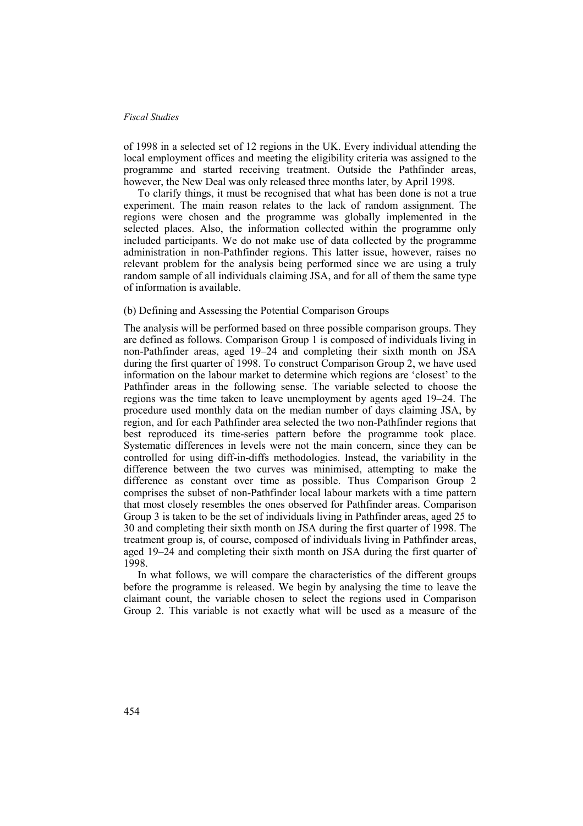of 1998 in a selected set of 12 regions in the UK. Every individual attending the local employment offices and meeting the eligibility criteria was assigned to the programme and started receiving treatment. Outside the Pathfinder areas, however, the New Deal was only released three months later, by April 1998.

To clarify things, it must be recognised that what has been done is not a true experiment. The main reason relates to the lack of random assignment. The regions were chosen and the programme was globally implemented in the selected places. Also, the information collected within the programme only included participants. We do not make use of data collected by the programme administration in non-Pathfinder regions. This latter issue, however, raises no relevant problem for the analysis being performed since we are using a truly random sample of all individuals claiming JSA, and for all of them the same type of information is available.

## (b) Defining and Assessing the Potential Comparison Groups

The analysis will be performed based on three possible comparison groups. They are defined as follows. Comparison Group 1 is composed of individuals living in non-Pathfinder areas, aged 19–24 and completing their sixth month on JSA during the first quarter of 1998. To construct Comparison Group 2, we have used information on the labour market to determine which regions are 'closest' to the Pathfinder areas in the following sense. The variable selected to choose the regions was the time taken to leave unemployment by agents aged 19–24. The procedure used monthly data on the median number of days claiming JSA, by region, and for each Pathfinder area selected the two non-Pathfinder regions that best reproduced its time-series pattern before the programme took place. Systematic differences in levels were not the main concern, since they can be controlled for using diff-in-diffs methodologies. Instead, the variability in the difference between the two curves was minimised, attempting to make the difference as constant over time as possible. Thus Comparison Group 2 comprises the subset of non-Pathfinder local labour markets with a time pattern that most closely resembles the ones observed for Pathfinder areas. Comparison Group 3 is taken to be the set of individuals living in Pathfinder areas, aged 25 to 30 and completing their sixth month on JSA during the first quarter of 1998. The treatment group is, of course, composed of individuals living in Pathfinder areas, aged 19–24 and completing their sixth month on JSA during the first quarter of 1998.

In what follows, we will compare the characteristics of the different groups before the programme is released. We begin by analysing the time to leave the claimant count, the variable chosen to select the regions used in Comparison Group 2. This variable is not exactly what will be used as a measure of the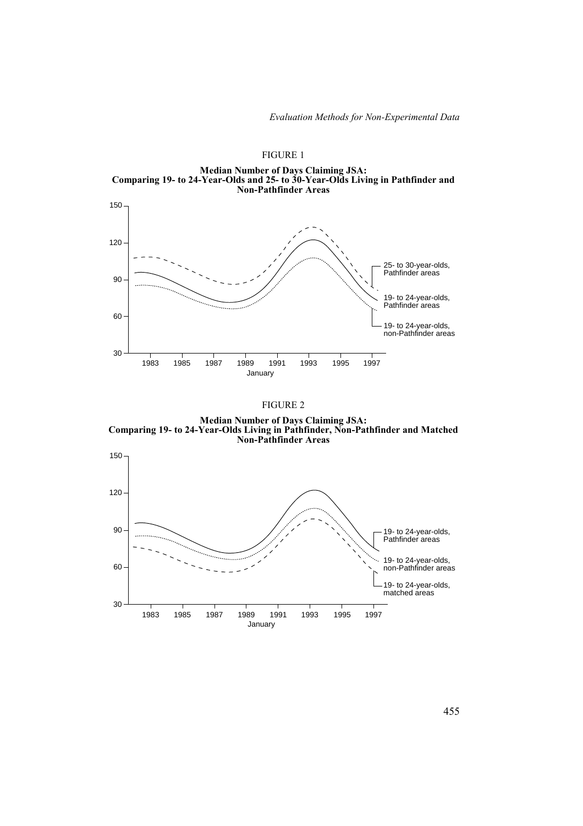*Evaluation Methods for Non-Experimental Data* 



FIGURE 1

**Median Number of Days Claiming JSA: Comparing 19- to 24-Year-Olds and 25- to 30-Year-Olds Living in Pathfinder and** 

| IGURE |  |
|-------|--|
|-------|--|

**Median Number of Days Claiming JSA: Comparing 19- to 24-Year-Olds Living in Pathfinder, Non-Pathfinder and Matched Non-Pathfinder Areas** 

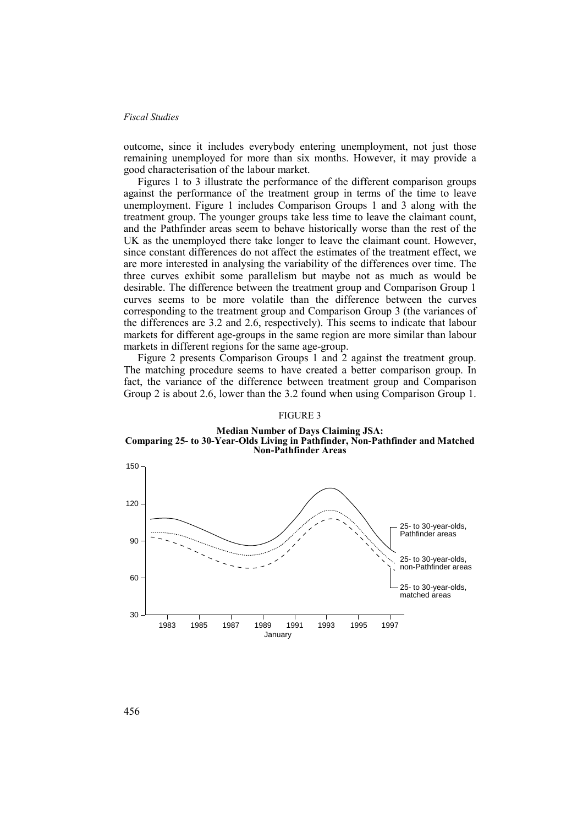outcome, since it includes everybody entering unemployment, not just those remaining unemployed for more than six months. However, it may provide a good characterisation of the labour market.

Figures 1 to 3 illustrate the performance of the different comparison groups against the performance of the treatment group in terms of the time to leave unemployment. Figure 1 includes Comparison Groups 1 and 3 along with the treatment group. The younger groups take less time to leave the claimant count, and the Pathfinder areas seem to behave historically worse than the rest of the UK as the unemployed there take longer to leave the claimant count. However, since constant differences do not affect the estimates of the treatment effect, we are more interested in analysing the variability of the differences over time. The three curves exhibit some parallelism but maybe not as much as would be desirable. The difference between the treatment group and Comparison Group 1 curves seems to be more volatile than the difference between the curves corresponding to the treatment group and Comparison Group 3 (the variances of the differences are 3.2 and 2.6, respectively). This seems to indicate that labour markets for different age-groups in the same region are more similar than labour markets in different regions for the same age-group.

Figure 2 presents Comparison Groups 1 and 2 against the treatment group. The matching procedure seems to have created a better comparison group. In fact, the variance of the difference between treatment group and Comparison Group 2 is about 2.6, lower than the 3.2 found when using Comparison Group 1.

#### FIGURE 3

**Median Number of Days Claiming JSA: Comparing 25- to 30-Year-Olds Living in Pathfinder, Non-Pathfinder and Matched Non-Pathfinder Areas** 

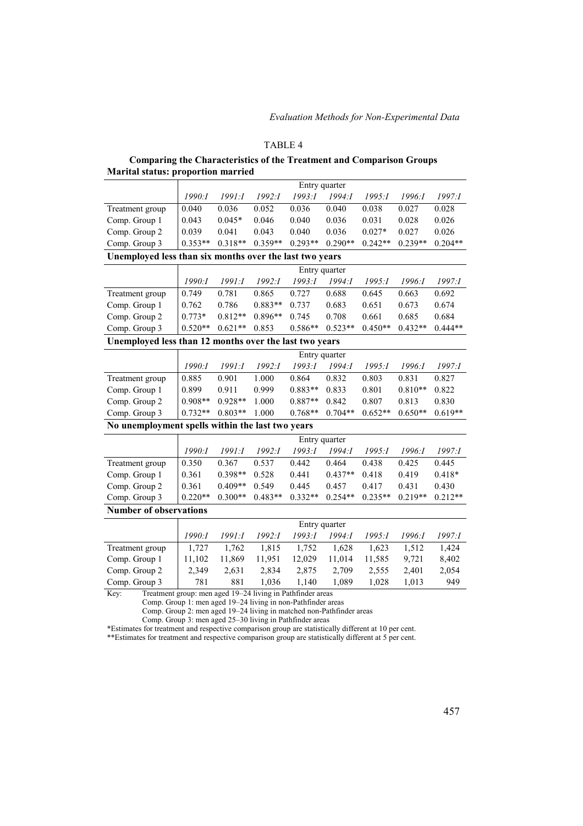# TABLE 4

## **Comparing the Characteristics of the Treatment and Comparison Groups Marital status: proportion married**

|                                                         | Entry quarter |           |           |           |               |           |           |           |
|---------------------------------------------------------|---------------|-----------|-----------|-----------|---------------|-----------|-----------|-----------|
|                                                         | 1990:I        | 1991:1    | 1992:1    | 1993:1    | 1994:I        | 1995:1    | 1996:1    | 1997:1    |
| Treatment group                                         | 0.040         | 0.036     | 0.052     | 0.036     | 0.040         | 0.038     | 0.027     | 0.028     |
| Comp. Group 1                                           | 0.043         | $0.045*$  | 0.046     | 0.040     | 0.036         | 0.031     | 0.028     | 0.026     |
| Comp. Group 2                                           | 0.039         | 0.041     | 0.043     | 0.040     | 0.036         | $0.027*$  | 0.027     | 0.026     |
| Comp. Group 3                                           | $0.353**$     | $0.318**$ | $0.359**$ | $0.293**$ | $0.290**$     | $0.242**$ | $0.239**$ | $0.204**$ |
| Unemployed less than six months over the last two years |               |           |           |           |               |           |           |           |
|                                                         |               |           |           |           | Entry quarter |           |           |           |
|                                                         | 1990:I        | 1991:1    | 1992:1    | 1993:1    | 1994:I        | 1995:1    | 1996:1    | 1997:1    |
| Treatment group                                         | 0.749         | 0.781     | 0.865     | 0.727     | 0.688         | 0.645     | 0.663     | 0.692     |
| Comp. Group 1                                           | 0.762         | 0.786     | $0.883**$ | 0.737     | 0.683         | 0.651     | 0.673     | 0.674     |
| Comp. Group 2                                           | $0.773*$      | $0.812**$ | $0.896**$ | 0.745     | 0.708         | 0.661     | 0.685     | 0.684     |
| Comp. Group 3                                           | $0.520**$     | $0.621**$ | 0.853     | $0.586**$ | $0.523**$     | $0.450**$ | $0.432**$ | $0.444**$ |
| Unemployed less than 12 months over the last two years  |               |           |           |           |               |           |           |           |
|                                                         |               |           |           |           | Entry quarter |           |           |           |
|                                                         | 1990:I        | 1991:1    | 1992:1    | 1993:1    | 1994:I        | 1995:1    | 1996:I    | 1997:1    |
| Treatment group                                         | 0.885         | 0.901     | 1.000     | 0.864     | 0.832         | 0.803     | 0.831     | 0.827     |
| Comp. Group 1                                           | 0.899         | 0.911     | 0.999     | $0.883**$ | 0.833         | 0.801     | $0.810**$ | 0.822     |
| Comp. Group 2                                           | $0.908**$     | $0.928**$ | 1.000     | $0.887**$ | 0.842         | 0.807     | 0.813     | 0.830     |
| Comp. Group 3                                           | $0.732**$     | $0.803**$ | 1.000     | $0.768**$ | $0.704**$     | $0.652**$ | $0.650**$ | $0.619**$ |
| No unemployment spells within the last two years        |               |           |           |           |               |           |           |           |
|                                                         |               |           |           |           | Entry quarter |           |           |           |
|                                                         | 1990:I        | 1991:1    | 1992:1    | 1993:1    | 1994:I        | 1995:1    | 1996:I    | 1997:1    |
| Treatment group                                         | 0.350         | 0.367     | 0.537     | 0.442     | 0.464         | 0.438     | 0.425     | 0.445     |
| Comp. Group 1                                           | 0.361         | 0.398**   | 0.528     | 0.441     | $0.437**$     | 0.418     | 0.419     | $0.418*$  |
| Comp. Group 2                                           | 0.361         | $0.409**$ | 0.549     | 0.445     | 0.457         | 0.417     | 0.431     | 0.430     |
| Comp. Group 3                                           | $0.220**$     | $0.300**$ | $0.483**$ | $0.332**$ | $0.254**$     | $0.235**$ | $0.219**$ | $0.212**$ |
| <b>Number of observations</b>                           |               |           |           |           |               |           |           |           |
|                                                         |               |           |           |           | Entry quarter |           |           |           |
|                                                         | 1990:I        | 1991:1    | 1992:1    | 1993:1    | 1994:1        | 1995:1    | 1996:1    | 1997:I    |
| Treatment group                                         | 1,727         | 1,762     | 1,815     | 1,752     | 1,628         | 1,623     | 1,512     | 1,424     |
| Comp. Group 1                                           | 11,102        | 11,869    | 11,951    | 12,029    | 11,014        | 11,585    | 9,721     | 8,402     |
| Comp. Group 2                                           | 2,349         | 2,631     | 2,834     | 2,875     | 2,709         | 2,555     | 2,401     | 2,054     |
| Comp. Group 3                                           | 781           | 881       | 1,036     | 1,140     | 1,089         | 1,028     | 1,013     | 949       |
|                                                         |               |           |           |           |               |           |           |           |

Key: Treatment group: men aged 19–24 living in Pathfinder areas

Comp. Group 1: men aged 19–24 living in non-Pathfinder areas

Comp. Group 2: men aged 19–24 living in matched non-Pathfinder areas

Comp. Group 3: men aged 25–30 living in Pathfinder areas

\*Estimates for treatment and respective comparison group are statistically different at 10 per cent. \*\*Estimates for treatment and respective comparison group are statistically different at 5 per cent.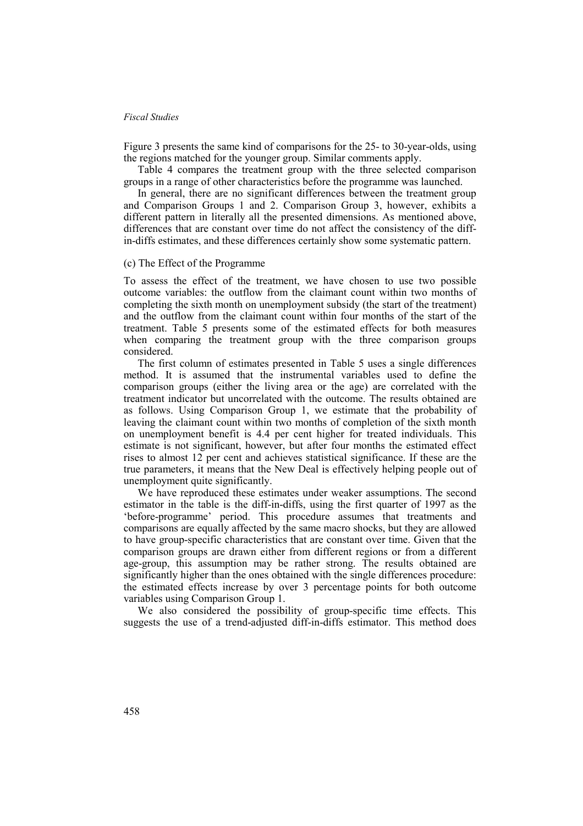Figure 3 presents the same kind of comparisons for the 25- to 30-year-olds, using the regions matched for the younger group. Similar comments apply.

Table 4 compares the treatment group with the three selected comparison groups in a range of other characteristics before the programme was launched.

In general, there are no significant differences between the treatment group and Comparison Groups 1 and 2. Comparison Group 3, however, exhibits a different pattern in literally all the presented dimensions. As mentioned above, differences that are constant over time do not affect the consistency of the diffin-diffs estimates, and these differences certainly show some systematic pattern.

#### (c) The Effect of the Programme

To assess the effect of the treatment, we have chosen to use two possible outcome variables: the outflow from the claimant count within two months of completing the sixth month on unemployment subsidy (the start of the treatment) and the outflow from the claimant count within four months of the start of the treatment. Table 5 presents some of the estimated effects for both measures when comparing the treatment group with the three comparison groups considered.

The first column of estimates presented in Table 5 uses a single differences method. It is assumed that the instrumental variables used to define the comparison groups (either the living area or the age) are correlated with the treatment indicator but uncorrelated with the outcome. The results obtained are as follows. Using Comparison Group 1, we estimate that the probability of leaving the claimant count within two months of completion of the sixth month on unemployment benefit is 4.4 per cent higher for treated individuals. This estimate is not significant, however, but after four months the estimated effect rises to almost 12 per cent and achieves statistical significance. If these are the true parameters, it means that the New Deal is effectively helping people out of unemployment quite significantly.

We have reproduced these estimates under weaker assumptions. The second estimator in the table is the diff-in-diffs, using the first quarter of 1997 as the 'before-programme' period. This procedure assumes that treatments and comparisons are equally affected by the same macro shocks, but they are allowed to have group-specific characteristics that are constant over time. Given that the comparison groups are drawn either from different regions or from a different age-group, this assumption may be rather strong. The results obtained are significantly higher than the ones obtained with the single differences procedure: the estimated effects increase by over 3 percentage points for both outcome variables using Comparison Group 1.

We also considered the possibility of group-specific time effects. This suggests the use of a trend-adjusted diff-in-diffs estimator. This method does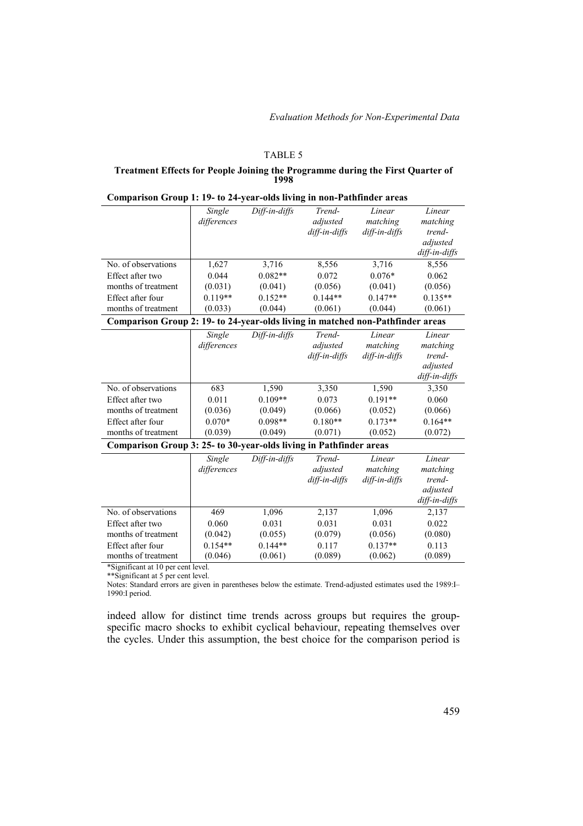## TABLE 5

## **Treatment Effects for People Joining the Programme during the First Quarter of 1998**

| Comparison Group 1, 17- to 24-year-olds hying in non-f atminuer areas          |                       |                 |                                     |                                        |                                                              |
|--------------------------------------------------------------------------------|-----------------------|-----------------|-------------------------------------|----------------------------------------|--------------------------------------------------------------|
|                                                                                | Single<br>differences | $Diff-in-diffs$ | Trend-<br>adjusted<br>diff-in-diffs | Linear<br>matching<br>$diff$ -in-diffs | Linear<br>matching<br>trend-<br>adjusted<br>$diff$ -in-diffs |
| No. of observations                                                            | 1,627                 | 3,716           | 8,556                               | 3,716                                  | 8,556                                                        |
| Effect after two                                                               | 0.044                 | $0.082**$       | 0.072                               | $0.076*$                               | 0.062                                                        |
| months of treatment                                                            | (0.031)               | (0.041)         | (0.056)                             | (0.041)                                | (0.056)                                                      |
| Effect after four                                                              | $0.119**$             | $0.152**$       | $0.144**$                           | $0.147**$                              | $0.135**$                                                    |
| months of treatment                                                            | (0.033)               | (0.044)         | (0.061)                             | (0.044)                                | (0.061)                                                      |
| Comparison Group 2: 19- to 24-year-olds living in matched non-Pathfinder areas |                       |                 |                                     |                                        |                                                              |
|                                                                                | Single<br>differences | Diff-in-diffs   | Trend-<br>adjusted<br>diff-in-diffs | Linear<br>matching<br>$diff$ -in-diffs | Linear<br>matching<br>trend-<br>adiwetad                     |

|  |  |  | Comparison Group 1: 19- to 24-year-olds living in non-Pathfinder areas |
|--|--|--|------------------------------------------------------------------------|
|--|--|--|------------------------------------------------------------------------|

|                                                                    |             |               | vJ            |                 | adjusted<br>$diff-in-diffs$ |
|--------------------------------------------------------------------|-------------|---------------|---------------|-----------------|-----------------------------|
| No. of observations                                                | 683         | 1,590         | 3,350         | 1,590           | 3,350                       |
| Effect after two                                                   | 0.011       | $0.109**$     | 0.073         | $0.191**$       | 0.060                       |
| months of treatment                                                | (0.036)     | (0.049)       | (0.066)       | (0.052)         | (0.066)                     |
| Effect after four                                                  | $0.070*$    | $0.098**$     | $0.180**$     | $0.173**$       | $0.164**$                   |
| months of treatment                                                | (0.039)     | (0.049)       | (0.071)       | (0.052)         | (0.072)                     |
| Comparison Group 3: 25- to 30-year-olds living in Pathfinder areas |             |               |               |                 |                             |
|                                                                    | Single      | Diff-in-diffs | Trend-        | Linear          | Linear                      |
|                                                                    | differences |               | adjusted      | matching        | matching                    |
|                                                                    |             |               | diff-in-diffs | $diff-in-diffs$ | trend-                      |
|                                                                    |             |               |               |                 | adjusted                    |
|                                                                    |             |               |               |                 | $diff-in-diffs$             |
| No. of observations                                                | 469         | 1,096         | 2,137         | 1,096           | 2,137                       |
| Effect after two                                                   | 0.060       | 0.031         | 0.031         | 0.031           | 0.022                       |
| months of treatment                                                | (0.042)     | (0.055)       | (0.079)       | (0.056)         | (0.080)                     |
| Effect after four                                                  | $0.154**$   | $0.144**$     | 0.117         | $0.137**$       | 0.113                       |
| months of treatment                                                | (0.046)     | (0.061)       | (0.089)       | (0.062)         | (0.089)                     |

\*Significant at 10 per cent level.

\*\*Significant at 5 per cent level.

Notes: Standard errors are given in parentheses below the estimate. Trend-adjusted estimates used the 1989:I– 1990:I period.

indeed allow for distinct time trends across groups but requires the groupspecific macro shocks to exhibit cyclical behaviour, repeating themselves over the cycles. Under this assumption, the best choice for the comparison period is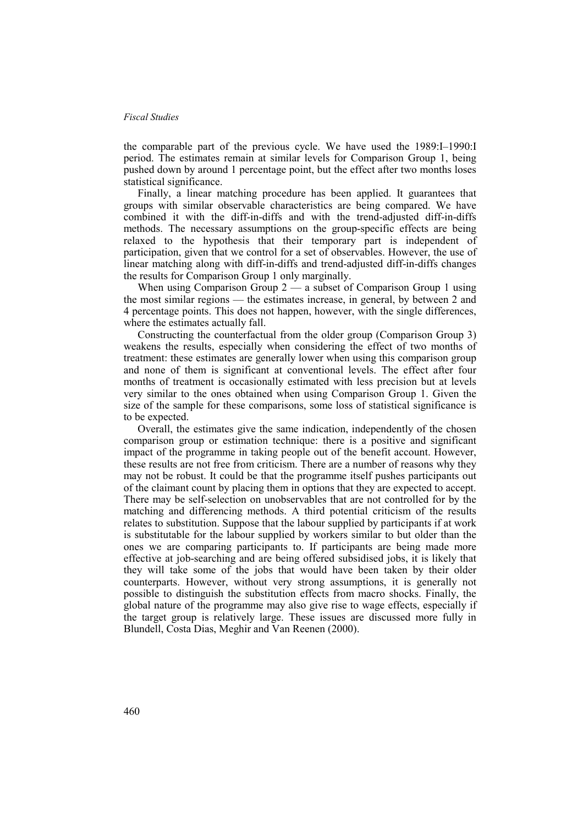the comparable part of the previous cycle. We have used the 1989:I–1990:I period. The estimates remain at similar levels for Comparison Group 1, being pushed down by around 1 percentage point, but the effect after two months loses statistical significance.

Finally, a linear matching procedure has been applied. It guarantees that groups with similar observable characteristics are being compared. We have combined it with the diff-in-diffs and with the trend-adjusted diff-in-diffs methods. The necessary assumptions on the group-specific effects are being relaxed to the hypothesis that their temporary part is independent of participation, given that we control for a set of observables. However, the use of linear matching along with diff-in-diffs and trend-adjusted diff-in-diffs changes the results for Comparison Group 1 only marginally.

When using Comparison Group  $2 - a$  subset of Comparison Group 1 using the most similar regions — the estimates increase, in general, by between 2 and 4 percentage points. This does not happen, however, with the single differences, where the estimates actually fall.

Constructing the counterfactual from the older group (Comparison Group 3) weakens the results, especially when considering the effect of two months of treatment: these estimates are generally lower when using this comparison group and none of them is significant at conventional levels. The effect after four months of treatment is occasionally estimated with less precision but at levels very similar to the ones obtained when using Comparison Group 1. Given the size of the sample for these comparisons, some loss of statistical significance is to be expected.

Overall, the estimates give the same indication, independently of the chosen comparison group or estimation technique: there is a positive and significant impact of the programme in taking people out of the benefit account. However, these results are not free from criticism. There are a number of reasons why they may not be robust. It could be that the programme itself pushes participants out of the claimant count by placing them in options that they are expected to accept. There may be self-selection on unobservables that are not controlled for by the matching and differencing methods. A third potential criticism of the results relates to substitution. Suppose that the labour supplied by participants if at work is substitutable for the labour supplied by workers similar to but older than the ones we are comparing participants to. If participants are being made more effective at job-searching and are being offered subsidised jobs, it is likely that they will take some of the jobs that would have been taken by their older counterparts. However, without very strong assumptions, it is generally not possible to distinguish the substitution effects from macro shocks. Finally, the global nature of the programme may also give rise to wage effects, especially if the target group is relatively large. These issues are discussed more fully in Blundell, Costa Dias, Meghir and Van Reenen (2000).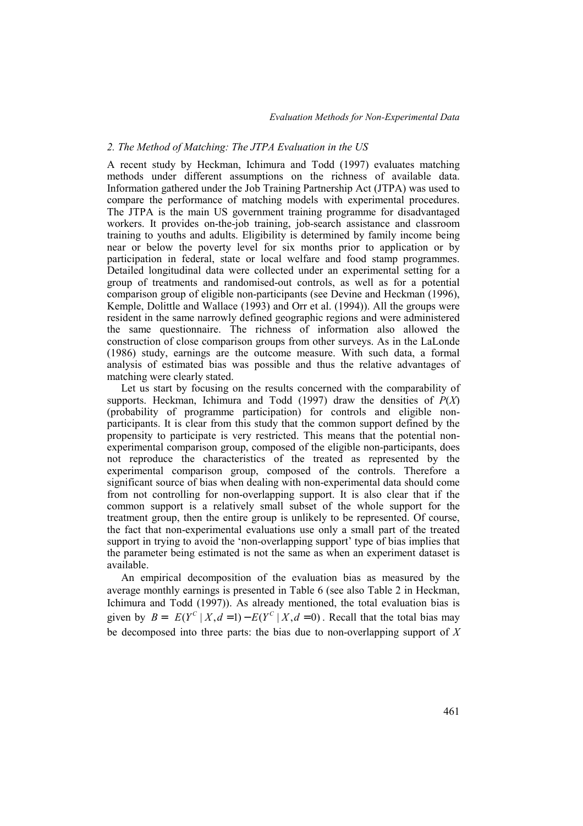#### *2. The Method of Matching: The JTPA Evaluation in the US*

A recent study by Heckman, Ichimura and Todd (1997) evaluates matching methods under different assumptions on the richness of available data. Information gathered under the Job Training Partnership Act (JTPA) was used to compare the performance of matching models with experimental procedures. The JTPA is the main US government training programme for disadvantaged workers. It provides on-the-job training, job-search assistance and classroom training to youths and adults. Eligibility is determined by family income being near or below the poverty level for six months prior to application or by participation in federal, state or local welfare and food stamp programmes. Detailed longitudinal data were collected under an experimental setting for a group of treatments and randomised-out controls, as well as for a potential comparison group of eligible non-participants (see Devine and Heckman (1996), Kemple, Dolittle and Wallace (1993) and Orr et al. (1994)). All the groups were resident in the same narrowly defined geographic regions and were administered the same questionnaire. The richness of information also allowed the construction of close comparison groups from other surveys. As in the LaLonde (1986) study, earnings are the outcome measure. With such data, a formal analysis of estimated bias was possible and thus the relative advantages of matching were clearly stated.

Let us start by focusing on the results concerned with the comparability of supports. Heckman, Ichimura and Todd (1997) draw the densities of *P*(*X*) (probability of programme participation) for controls and eligible nonparticipants. It is clear from this study that the common support defined by the propensity to participate is very restricted. This means that the potential nonexperimental comparison group, composed of the eligible non-participants, does not reproduce the characteristics of the treated as represented by the experimental comparison group, composed of the controls. Therefore a significant source of bias when dealing with non-experimental data should come from not controlling for non-overlapping support. It is also clear that if the common support is a relatively small subset of the whole support for the treatment group, then the entire group is unlikely to be represented. Of course, the fact that non-experimental evaluations use only a small part of the treated support in trying to avoid the 'non-overlapping support' type of bias implies that the parameter being estimated is not the same as when an experiment dataset is available.

An empirical decomposition of the evaluation bias as measured by the average monthly earnings is presented in Table 6 (see also Table 2 in Heckman, Ichimura and Todd (1997)). As already mentioned, the total evaluation bias is given by  $B = E(Y^C | X, d = 1) - E(Y^C | X, d = 0)$ . Recall that the total bias may be decomposed into three parts: the bias due to non-overlapping support of *X*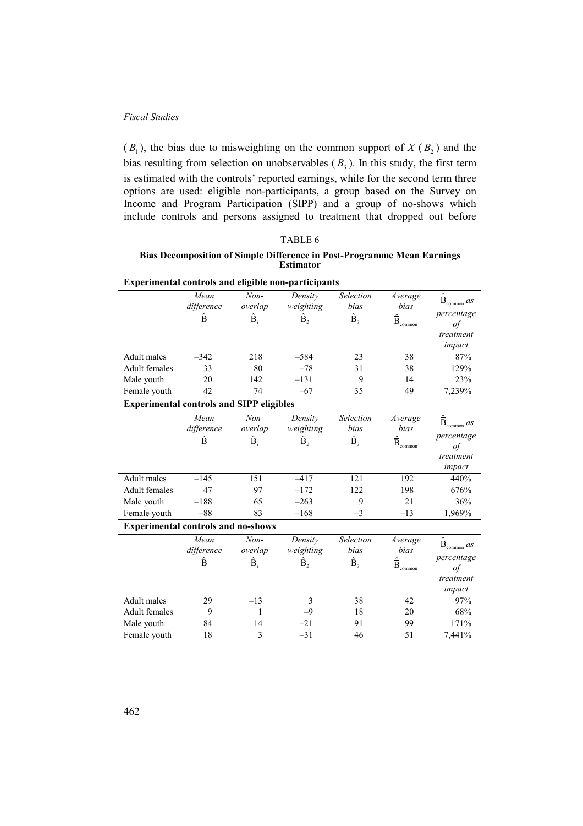$(B_1)$ , the bias due to misweighting on the common support of  $X(B_2)$  and the bias resulting from selection on unobservables  $(B_3)$ . In this study, the first term is estimated with the controls' reported earnings, while for the second term three options are used: eligible non-participants, a group based on the Survey on Income and Program Participation (SIPP) and a group of no-shows which include controls and persons assigned to treatment that dropped out before

# TABLE 6

# **Bias Decomposition of Simple Difference in Post-Programme Mean Earnings Estimator**

|                                                 | Mean       | $Non-$               | Density              | Selection              | Average                                | $\overline{\hat{\mathbf{B}}}_{\text{common}}$ as |
|-------------------------------------------------|------------|----------------------|----------------------|------------------------|----------------------------------------|--------------------------------------------------|
|                                                 | difference | overlap              | weighting            | bias                   | bias                                   |                                                  |
|                                                 | Ê          | $\hat{\mathbf{B}}_I$ | $\hat{\mathbf{B}}_2$ | $\hat{\mathbf{B}}_{3}$ | $\hat{\overline{B}}_{\textrm{common}}$ | percentage<br>of                                 |
|                                                 |            |                      |                      |                        |                                        | treatment                                        |
|                                                 |            |                      |                      |                        |                                        | impact                                           |
| Adult males                                     | $-342$     | 218                  | $-584$               | 23                     | 38                                     | 87%                                              |
| <b>Adult females</b>                            | 33         | 80                   | $-78$                | 31                     | 38                                     | 129%                                             |
| Male youth                                      | 20         | 142                  | $-131$               | 9                      | 14                                     | 23%                                              |
| Female youth                                    | 42         | 74                   | $-67$                | 35                     | 49                                     | 7,239%                                           |
| <b>Experimental controls and SIPP eligibles</b> |            |                      |                      |                        |                                        |                                                  |
|                                                 | Mean       | Non-                 | Density              | Selection              | Average                                | $\hat{\overline{\mathbf{B}}}_{\text{common}}$ as |
|                                                 | difference | overlap              | weighting            | bias                   | bias                                   |                                                  |
|                                                 | Ê          | $\hat{\mathbf{B}}_I$ | $\hat{\mathbf{B}}_2$ | $\hat{\mathbf{B}}_3$   | $\hat{\overline{B}}_{\text{common}}$   | percentage<br>of                                 |
|                                                 |            |                      |                      |                        |                                        | treatment                                        |
|                                                 |            |                      |                      |                        |                                        | impact                                           |
| <b>Adult</b> males                              | $-145$     | 151                  | $-417$               | 121                    | 192                                    | 440%                                             |
| Adult females                                   | 47         | 97                   | $-172$               | 122                    | 198                                    | 676%                                             |
| Male youth                                      | $-188$     | 65                   | $-263$               | 9                      | 21                                     | 36%                                              |
| Female youth                                    | $-88$      | 83                   | $-168$               | $-3$                   | $-13$                                  | 1,969%                                           |
| <b>Experimental controls and no-shows</b>       |            |                      |                      |                        |                                        |                                                  |
|                                                 | Mean       | $Non-$               | Density              | Selection              | Average                                | $\hat{\overline{\mathbf{B}}}_{\text{common}}$ as |
|                                                 | difference | overlap              | weighting            | bias                   | bias                                   |                                                  |
|                                                 | Ê          | $\hat{\mathbf{B}}_I$ | $\hat{\mathbf{B}}_2$ | $\hat{B}_3$            | $\hat{\overline{B}}_{\textrm{common}}$ | percentage<br>of                                 |
|                                                 |            |                      |                      |                        |                                        | treatment                                        |
|                                                 |            |                      |                      |                        |                                        | impact                                           |
| Adult males                                     | 29         | $-13$                | 3                    | 38                     | 42                                     | 97%                                              |
| Adult females                                   | 9          | 1                    | $-9$                 | 18                     | 20                                     | 68%                                              |
| Male youth                                      | 84         | 14                   | $-21$                | 91                     | 99                                     | 171%                                             |
| Female youth                                    | 18         | $\overline{3}$       | $-31$                | 46                     | 51                                     | 7,441%                                           |

**Experimental controls and eligible non-participants**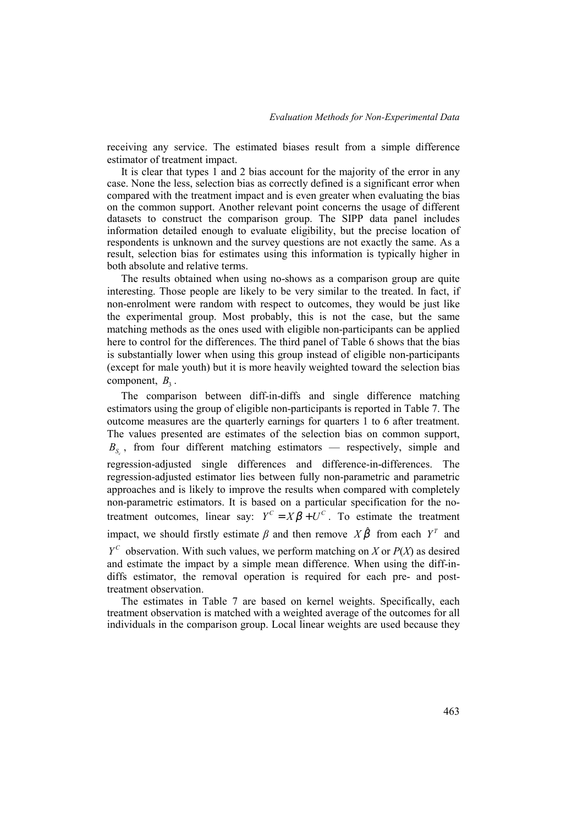receiving any service. The estimated biases result from a simple difference estimator of treatment impact.

It is clear that types  $\hat{1}$  and  $\hat{2}$  bias account for the majority of the error in any case. None the less, selection bias as correctly defined is a significant error when compared with the treatment impact and is even greater when evaluating the bias on the common support. Another relevant point concerns the usage of different datasets to construct the comparison group. The SIPP data panel includes information detailed enough to evaluate eligibility, but the precise location of respondents is unknown and the survey questions are not exactly the same. As a result, selection bias for estimates using this information is typically higher in both absolute and relative terms.

The results obtained when using no-shows as a comparison group are quite interesting. Those people are likely to be very similar to the treated. In fact, if non-enrolment were random with respect to outcomes, they would be just like the experimental group. Most probably, this is not the case, but the same matching methods as the ones used with eligible non-participants can be applied here to control for the differences. The third panel of Table 6 shows that the bias is substantially lower when using this group instead of eligible non-participants (except for male youth) but it is more heavily weighted toward the selection bias component,  $B_3$ .

The comparison between diff-in-diffs and single difference matching estimators using the group of eligible non-participants is reported in Table 7. The outcome measures are the quarterly earnings for quarters 1 to 6 after treatment. The values presented are estimates of the selection bias on common support,  $B_{\rm s}$ , from four different matching estimators — respectively, simple and regression-adjusted single differences and difference-in-differences. The regression-adjusted estimator lies between fully non-parametric and parametric approaches and is likely to improve the results when compared with completely non-parametric estimators. It is based on a particular specification for the notreatment outcomes, linear say:  $Y^{C} = X\beta + U^{C}$ . To estimate the treatment impact, we should firstly estimate  $\beta$  and then remove  $X\hat{\beta}$  from each  $Y^T$  and  $Y^C$  observation. With such values, we perform matching on *X* or *P*(*X*) as desired and estimate the impact by a simple mean difference. When using the diff-indiffs estimator, the removal operation is required for each pre- and posttreatment observation.

The estimates in Table 7 are based on kernel weights. Specifically, each treatment observation is matched with a weighted average of the outcomes for all individuals in the comparison group. Local linear weights are used because they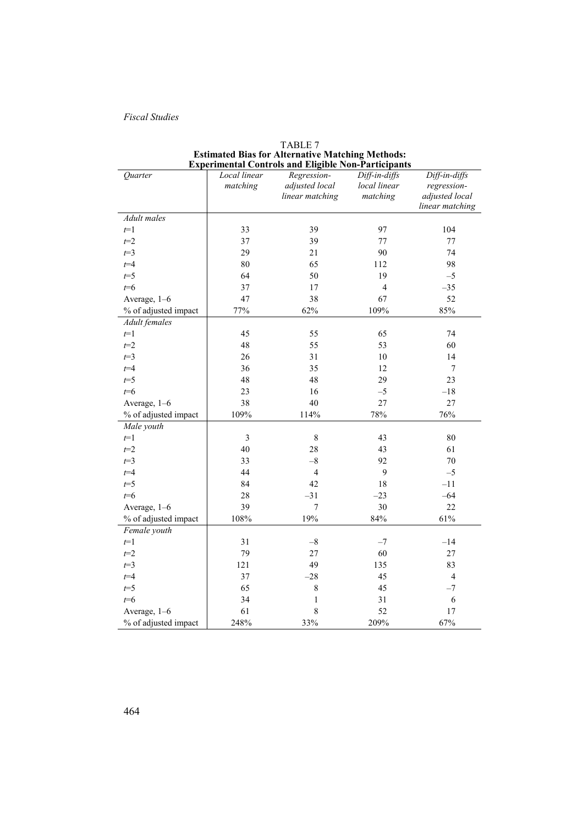|                      | <b>Experimental Controls and Eligible Non-Participants</b> |                                                  |                                           |                                                                   |  |  |  |
|----------------------|------------------------------------------------------------|--------------------------------------------------|-------------------------------------------|-------------------------------------------------------------------|--|--|--|
| Quarter              | Local linear<br>matching                                   | Regression-<br>adjusted local<br>linear matching | Diff-in-diffs<br>local linear<br>matching | Diff-in-diffs<br>regression-<br>adjusted local<br>linear matching |  |  |  |
| <b>Adult</b> males   |                                                            |                                                  |                                           |                                                                   |  |  |  |
| $t=1$                | 33                                                         | 39                                               | 97                                        | 104                                                               |  |  |  |
| $t=2$                | 37                                                         | 39                                               | 77                                        | 77                                                                |  |  |  |
| $t=3$                | 29                                                         | 21                                               | 90                                        | 74                                                                |  |  |  |
| $t=4$                | 80                                                         | 65                                               | 112                                       | 98                                                                |  |  |  |
| $t=5$                | 64                                                         | 50                                               | 19                                        | $-5$                                                              |  |  |  |
| $t=6$                | 37                                                         | 17                                               | $\overline{4}$                            | $-35$                                                             |  |  |  |
| Average, 1-6         | 47                                                         | 38                                               | 67                                        | 52                                                                |  |  |  |
| % of adjusted impact | 77%                                                        | 62%                                              | 109%                                      | 85%                                                               |  |  |  |
| Adult females        |                                                            |                                                  |                                           |                                                                   |  |  |  |
| $t=1$                | 45                                                         | 55                                               | 65                                        | 74                                                                |  |  |  |
| $t=2$                | 48                                                         | 55                                               | 53                                        | 60                                                                |  |  |  |
| $t=3$                | 26                                                         | 31                                               | 10                                        | 14                                                                |  |  |  |
| $t=4$                | 36                                                         | 35                                               | 12                                        | $\tau$                                                            |  |  |  |
| $t=5$                | 48                                                         | 48                                               | 29                                        | 23                                                                |  |  |  |
| $t=6$                | 23                                                         | 16                                               | $-5$                                      | $-18$                                                             |  |  |  |
| Average, 1-6         | 38                                                         | 40                                               | 27                                        | 27                                                                |  |  |  |
| % of adjusted impact | 109%                                                       | 114%                                             | 78%                                       | 76%                                                               |  |  |  |
| Male youth           |                                                            |                                                  |                                           |                                                                   |  |  |  |
| $t=1$                | 3                                                          | $\,$ 8 $\,$                                      | 43                                        | 80                                                                |  |  |  |
| $t=2$                | 40                                                         | 28                                               | 43                                        | 61                                                                |  |  |  |
| $t=3$                | 33                                                         | $-8$                                             | 92                                        | 70                                                                |  |  |  |
| $t=4$                | 44                                                         | $\overline{4}$                                   | 9                                         | $-5$                                                              |  |  |  |
| $t=5$                | 84                                                         | 42                                               | 18                                        | $-11$                                                             |  |  |  |
| $t=6$                | 28                                                         | $-31$                                            | $-23$                                     | $-64$                                                             |  |  |  |
| Average, 1-6         | 39                                                         | 7                                                | 30                                        | 22                                                                |  |  |  |
| % of adjusted impact | 108%                                                       | 19%                                              | 84%                                       | 61%                                                               |  |  |  |
| Female youth         |                                                            |                                                  |                                           |                                                                   |  |  |  |
| $t=1$                | 31                                                         | $-8\,$                                           | $-7$                                      | $-14$                                                             |  |  |  |
| $t=2$                | 79                                                         | 27                                               | 60                                        | 27                                                                |  |  |  |
| $t=3$                | 121                                                        | 49                                               | 135                                       | 83                                                                |  |  |  |
| $t=4$                | 37                                                         | $-28$                                            | 45                                        | $\overline{\mathcal{L}}$                                          |  |  |  |
| $t=5$                | 65                                                         | $\,$ 8 $\,$                                      | 45                                        | $-7$                                                              |  |  |  |
| $t=6$                | 34                                                         | $\mathbf{1}$                                     | 31                                        | $\sqrt{6}$                                                        |  |  |  |
| Average, 1-6         | 61                                                         | 8                                                | 52                                        | 17                                                                |  |  |  |
| % of adjusted impact | 248%                                                       | 33%                                              | 209%                                      | 67%                                                               |  |  |  |

|                                                                                                                                                                                                                                                                             | TABLE 7 |  |
|-----------------------------------------------------------------------------------------------------------------------------------------------------------------------------------------------------------------------------------------------------------------------------|---------|--|
| <b>Estimated Bias for Alternative Matching Methods:</b>                                                                                                                                                                                                                     |         |  |
| <b>Experimental Controls and Eligible Non-Participants</b>                                                                                                                                                                                                                  |         |  |
| $I = I \cup I$ is the set of $I \cup I$ is the set of $I \cup I$ is the set of $I \cup I$ is the set of $I \cup I$ is the set of $I \cup I$ is the set of $I \cup I$ is the set of $I \cup I$ is the set of $I \cup I$ is the set of $I \cup I$ is the set of $I \cup I$ is |         |  |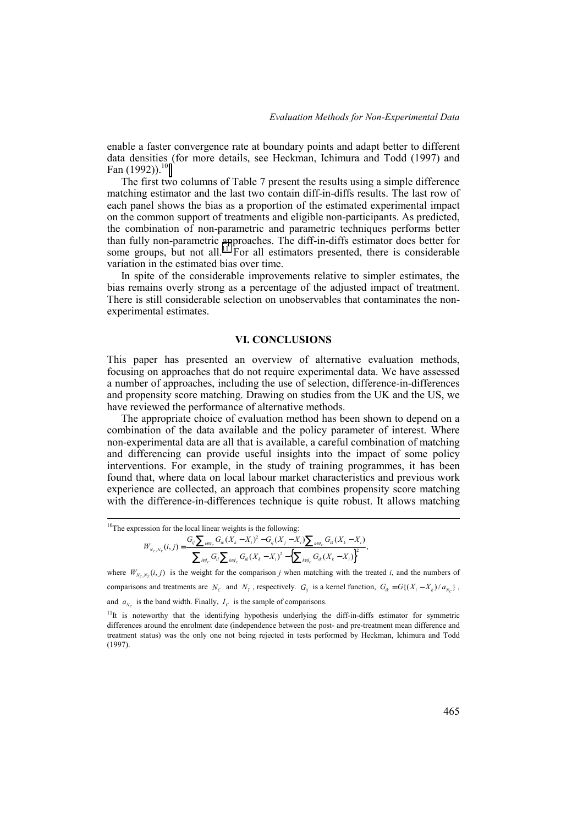enable a faster convergence rate at boundary points and adapt better to different data densities (for more details, see Heckman, Ichimura and Todd (1997) and Fan  $(1992)$ ).<sup>10</sup>

The first two columns of Table 7 present the results using a simple difference matching estimator and the last two contain diff-in-diffs results. The last row of each panel shows the bias as a proportion of the estimated experimental impact on the common support of treatments and eligible non-participants. As predicted, the combination of non-parametric and parametric techniques performs better than fully non-parametric approaches. The diff-in-diffs estimator does better for some groups, but not all.<sup>11</sup> For all estimators presented, there is considerable variation in the estimated bias over time.

In spite of the considerable improvements relative to simpler estimates, the bias remains overly strong as a percentage of the adjusted impact of treatment. There is still considerable selection on unobservables that contaminates the nonexperimental estimates.

# **VI. CONCLUSIONS**

This paper has presented an overview of alternative evaluation methods, focusing on approaches that do not require experimental data. We have assessed a number of approaches, including the use of selection, difference-in-differences and propensity score matching. Drawing on studies from the UK and the US, we have reviewed the performance of alternative methods.

The appropriate choice of evaluation method has been shown to depend on a combination of the data available and the policy parameter of interest. Where non-experimental data are all that is available, a careful combination of matching and differencing can provide useful insights into the impact of some policy interventions. For example, in the study of training programmes, it has been found that, where data on local labour market characteristics and previous work experience are collected, an approach that combines propensity score matching with the difference-in-differences technique is quite robust. It allows matching

<sup>10</sup>The expression for the local linear weights is the following:

$$
W_{N_c,N_r}(i,j) = \frac{G_{ij} \sum_{k \in I_c} G_{ik}(X_k - X_i)^2 - G_{ij}(X_j - X_i) \sum_{k \in I_c} G_{ik}(X_k - X_i)}{\sum_{k \in I_c} G_{il} \sum_{k \in I_c} G_{ik}(X_k - X_i)^2 - \left\{\sum_{k \in I_c} G_{ik}(X_k - X_i)\right\}^2},
$$

where  $W_{N_r, N_r}(i, j)$  is the weight for the comparison *j* when matching with the treated *i*, and the numbers of comparisons and treatments are  $N_c$  and  $N_T$ , respectively.  $G_{ii}$  is a kernel function,  $G_{ii} = G\{(X_i - X_k)/a_{N_i}\}$ , and  $a_{N_n}$  is the band width. Finally,  $I_c$  is the sample of comparisons.

<sup>&</sup>lt;sup>11</sup>It is noteworthy that the identifying hypothesis underlying the diff-in-diffs estimator for symmetric differences around the enrolment date (independence between the post- and pre-treatment mean difference and treatment status) was the only one not being rejected in tests performed by Heckman, Ichimura and Todd (1997).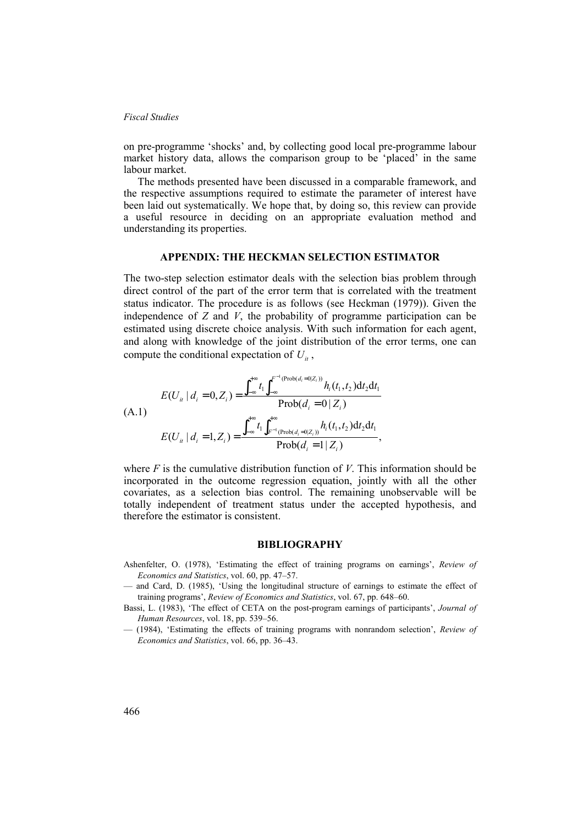on pre-programme 'shocks' and, by collecting good local pre-programme labour market history data, allows the comparison group to be 'placed' in the same labour market.

The methods presented have been discussed in a comparable framework, and the respective assumptions required to estimate the parameter of interest have been laid out systematically. We hope that, by doing so, this review can provide a useful resource in deciding on an appropriate evaluation method and understanding its properties.

# **APPENDIX: THE HECKMAN SELECTION ESTIMATOR**

The two-step selection estimator deals with the selection bias problem through direct control of the part of the error term that is correlated with the treatment status indicator. The procedure is as follows (see Heckman (1979)). Given the independence of *Z* and *V*, the probability of programme participation can be estimated using discrete choice analysis. With such information for each agent, and along with knowledge of the joint distribution of the error terms, one can compute the conditional expectation of  $U_i$ ,

$$
E(U_{ii} | d_i = 0, Z_i) = \frac{\int_{-\infty}^{+\infty} t_1 \int_{-\infty}^{F^{-1}(\text{Prob}(d_i = 0 | Z_i))} h_i(t_1, t_2) dt_2 dt_1}{\text{Prob}(d_i = 0 | Z_i)}
$$
  
(A.1)  

$$
E(U_{ii} | d_i = 1, Z_i) = \frac{\int_{-\infty}^{+\infty} t_1 \int_{F^{-1}(\text{Prob}(d_i = 0 | Z_i))}^{+\infty} h_i(t_1, t_2) dt_2 dt_1}{\text{Prob}(d_i = 1 | Z_i)},
$$

where  $F$  is the cumulative distribution function of  $V$ . This information should be incorporated in the outcome regression equation, jointly with all the other covariates, as a selection bias control. The remaining unobservable will be totally independent of treatment status under the accepted hypothesis, and therefore the estimator is consistent.

## **BIBLIOGRAPHY**

- Ashenfelter, O. (1978), 'Estimating the effect of training programs on earnings', *Review of Economics and Statistics*, vol. 60, pp. 47–57.
- and Card, D. (1985), 'Using the longitudinal structure of earnings to estimate the effect of training programs', *Review of Economics and Statistics*, vol. 67, pp. 648–60.
- Bassi, L. (1983), 'The effect of CETA on the post-program earnings of participants', *Journal of Human Resources*, vol. 18, pp. 539–56.
- (1984), 'Estimating the effects of training programs with nonrandom selection', *Review of Economics and Statistics*, vol. 66, pp. 36–43.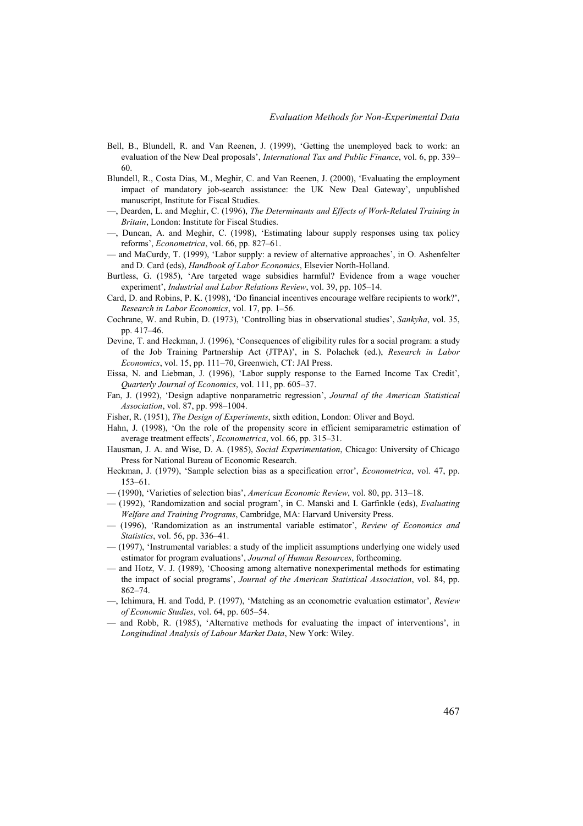- Bell, B., Blundell, R. and Van Reenen, J. (1999), 'Getting the unemployed back to work: an evaluation of the New Deal proposals', *International Tax and Public Finance*, vol. 6, pp. 339– 60.
- Blundell, R., Costa Dias, M., Meghir, C. and Van Reenen, J. (2000), 'Evaluating the employment impact of mandatory job-search assistance: the UK New Deal Gateway', unpublished manuscript, Institute for Fiscal Studies.
- —, Dearden, L. and Meghir, C. (1996), *The Determinants and Effects of Work-Related Training in Britain*, London: Institute for Fiscal Studies.
- —, Duncan, A. and Meghir, C. (1998), 'Estimating labour supply responses using tax policy reforms', *Econometrica*, vol. 66, pp. 827–61.
- and MaCurdy, T. (1999), 'Labor supply: a review of alternative approaches', in O. Ashenfelter and D. Card (eds), *Handbook of Labor Economics*, Elsevier North-Holland.
- Burtless, G. (1985), 'Are targeted wage subsidies harmful? Evidence from a wage voucher experiment', *Industrial and Labor Relations Review*, vol. 39, pp. 105–14.
- Card, D. and Robins, P. K. (1998), 'Do financial incentives encourage welfare recipients to work?', *Research in Labor Economics*, vol. 17, pp. 1–56.
- Cochrane, W. and Rubin, D. (1973), 'Controlling bias in observational studies', *Sankyha*, vol. 35, pp. 417–46.
- Devine, T. and Heckman, J. (1996), 'Consequences of eligibility rules for a social program: a study of the Job Training Partnership Act (JTPA)', in S. Polachek (ed.), *Research in Labor Economics*, vol. 15, pp. 111–70, Greenwich, CT: JAI Press.
- Eissa, N. and Liebman, J. (1996), 'Labor supply response to the Earned Income Tax Credit', *Quarterly Journal of Economics*, vol. 111, pp. 605–37.
- Fan, J. (1992), 'Design adaptive nonparametric regression', *Journal of the American Statistical Association*, vol. 87, pp. 998–1004.
- Fisher, R. (1951), *The Design of Experiments*, sixth edition, London: Oliver and Boyd.
- Hahn, J. (1998), 'On the role of the propensity score in efficient semiparametric estimation of average treatment effects', *Econometrica*, vol. 66, pp. 315–31.
- Hausman, J. A. and Wise, D. A. (1985), *Social Experimentation*, Chicago: University of Chicago Press for National Bureau of Economic Research.
- Heckman, J. (1979), 'Sample selection bias as a specification error', *Econometrica*, vol. 47, pp. 153–61.
- (1990), 'Varieties of selection bias', *American Economic Review*, vol. 80, pp. 313–18.
- (1992), 'Randomization and social program', in C. Manski and I. Garfinkle (eds), *Evaluating Welfare and Training Programs*, Cambridge, MA: Harvard University Press.
- (1996), 'Randomization as an instrumental variable estimator', *Review of Economics and Statistics*, vol. 56, pp. 336–41.
- (1997), 'Instrumental variables: a study of the implicit assumptions underlying one widely used estimator for program evaluations', *Journal of Human Resources*, forthcoming.
- and Hotz, V. J. (1989), 'Choosing among alternative nonexperimental methods for estimating the impact of social programs', *Journal of the American Statistical Association*, vol. 84, pp. 862–74.
- —, Ichimura, H. and Todd, P. (1997), 'Matching as an econometric evaluation estimator', *Review of Economic Studies*, vol. 64, pp. 605–54.
- and Robb, R. (1985), 'Alternative methods for evaluating the impact of interventions', in *Longitudinal Analysis of Labour Market Data*, New York: Wiley.